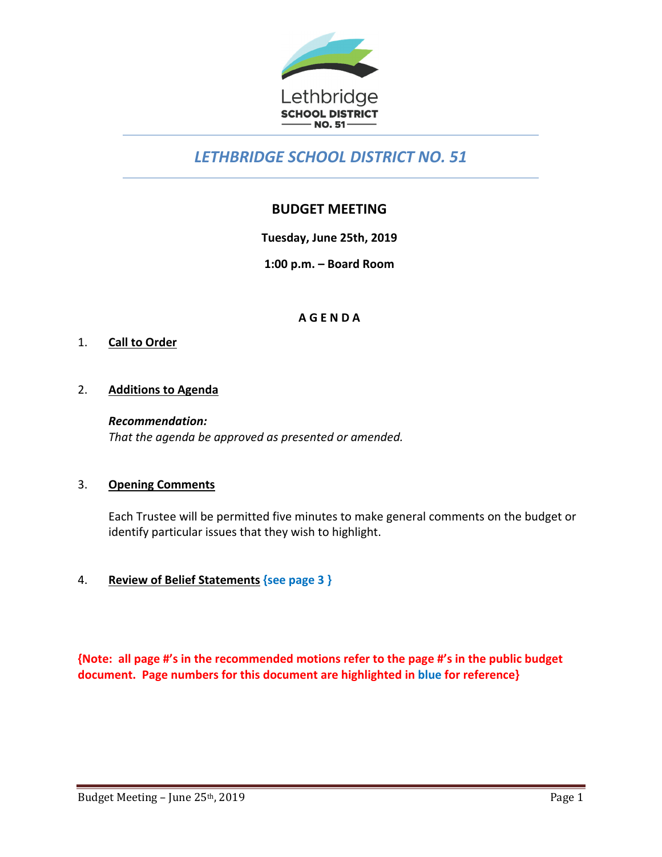

# *LETHBRIDGE SCHOOL DISTRICT NO. 51*

# **BUDGET MEETING**

**Tuesday, June 25th, 2019** 

**1:00 p.m. – Board Room** 

# **A G E N D A**

# 1. **Call to Order**

# 2. **Additions to Agenda**

*Recommendation: That the agenda be approved as presented or amended.*

# 3. **Opening Comments**

Each Trustee will be permitted five minutes to make general comments on the budget or identify particular issues that they wish to highlight.

# 4. **Review of Belief Statements {see page 3 }**

**{Note: all page #'s in the recommended motions refer to the page #'s in the public budget document. Page numbers for this document are highlighted in blue for reference}**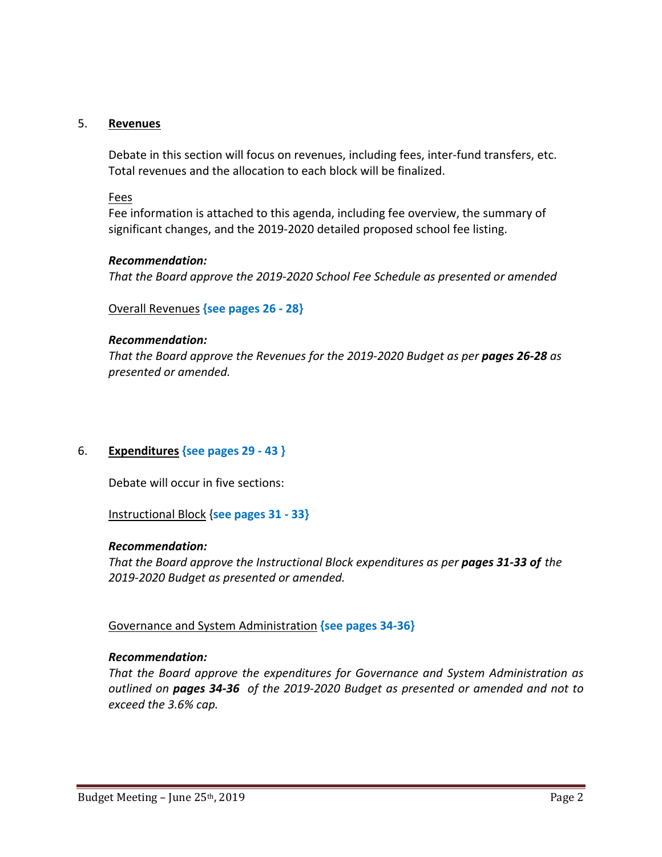### 5. **Revenues**

Debate in this section will focus on revenues, including fees, inter-fund transfers, etc. Total revenues and the allocation to each block will be finalized.

### Fees

 Fee information is attached to this agenda, including fee overview, the summary of significant changes, and the 2019‐2020 detailed proposed school fee listing.

### *Recommendation:*

 *That the Board approve the 2019‐2020 School Fee Schedule as presented or amended*

Overall Revenues **{see pages 26 ‐ 28}**

### *Recommendation:*

*That the Board approve the Revenues for the 2019‐2020 Budget as per pages 26‐28 as presented or amended.* 

# 6. **Expenditures {see pages 29 ‐ 43 }**

Debate will occur in five sections:

Instructional Block {**see pages 31 ‐ 33}**

### *Recommendation:*

*That the Board approve the Instructional Block expenditures as per pages 31‐33 of the 2019‐2020 Budget as presented or amended.* 

# Governance and System Administration **{see pages 34‐36}**

# *Recommendation:*

*That the Board approve the expenditures for Governance and System Administration as outlined on pages 34‐36 of the 2019‐2020 Budget as presented or amended and not to exceed the 3.6% cap.*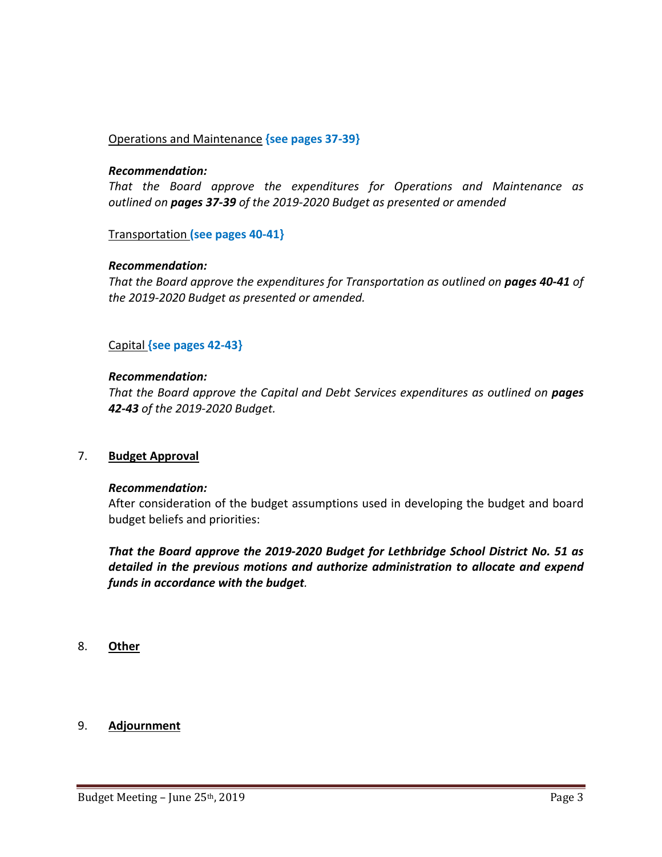# Operations and Maintenance **{see pages 37‐39}**

### *Recommendation:*

*That the Board approve the expenditures for Operations and Maintenance as outlined on pages 37‐39 of the 2019‐2020 Budget as presented or amended* 

### Transportation **(see pages 40‐41}**

# *Recommendation:*

*That the Board approve the expenditures for Transportation as outlined on pages 40-41 of the 2019‐2020 Budget as presented or amended.* 

# Capital **{see pages 42‐43}**

### *Recommendation:*

*That the Board approve the Capital and Debt Services expenditures as outlined on pages 42‐43 of the 2019‐2020 Budget.* 

### 7. **Budget Approval**

### *Recommendation:*

After consideration of the budget assumptions used in developing the budget and board budget beliefs and priorities:

*That the Board approve the 2019‐2020 Budget for Lethbridge School District No. 51 as detailed in the previous motions and authorize administration to allocate and expend funds in accordance with the budget.* 

8. **Other** 

### 9. **Adjournment**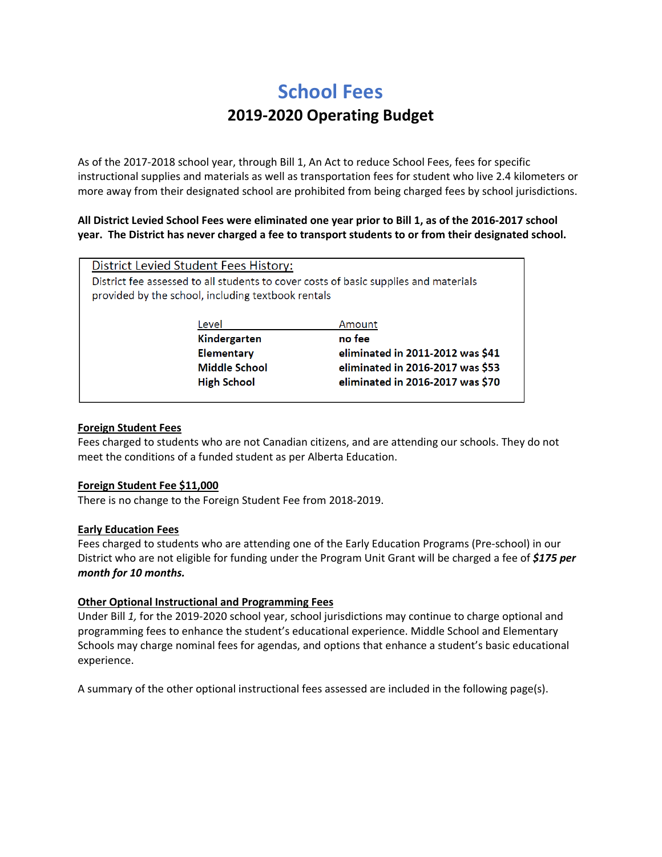# **School Fees 2019‐2020 Operating Budget**

As of the 2017‐2018 school year, through Bill 1, An Act to reduce School Fees, fees for specific instructional supplies and materials as well as transportation fees for student who live 2.4 kilometers or more away from their designated school are prohibited from being charged fees by school jurisdictions.

### **All District Levied School Fees were eliminated one year prior to Bill 1, as of the 2016‐2017 school year. The District has never charged a fee to transport students to or from their designated school.**

| District Levied Student Fees History:                                                                                                      |                                                          |  |  |  |  |  |  |
|--------------------------------------------------------------------------------------------------------------------------------------------|----------------------------------------------------------|--|--|--|--|--|--|
| District fee assessed to all students to cover costs of basic supplies and materials<br>provided by the school, including textbook rentals |                                                          |  |  |  |  |  |  |
| Level                                                                                                                                      | Amount                                                   |  |  |  |  |  |  |
| Kindergarten                                                                                                                               | no fee                                                   |  |  |  |  |  |  |
| <b>Elementary</b>                                                                                                                          | eliminated in 2011-2012 was \$41                         |  |  |  |  |  |  |
|                                                                                                                                            | eliminated in 2016-2017 was \$53<br><b>Middle School</b> |  |  |  |  |  |  |
| eliminated in 2016-2017 was \$70<br><b>High School</b>                                                                                     |                                                          |  |  |  |  |  |  |
|                                                                                                                                            |                                                          |  |  |  |  |  |  |

### **Foreign Student Fees**

Fees charged to students who are not Canadian citizens, and are attending our schools. They do not meet the conditions of a funded student as per Alberta Education.

### **Foreign Student Fee \$11,000**

There is no change to the Foreign Student Fee from 2018‐2019.

### **Early Education Fees**

Fees charged to students who are attending one of the Early Education Programs (Pre‐school) in our District who are not eligible for funding under the Program Unit Grant will be charged a fee of *\$175 per month for 10 months.*

### **Other Optional Instructional and Programming Fees**

Under Bill *1,* for the 2019‐2020 school year, school jurisdictions may continue to charge optional and programming fees to enhance the student's educational experience. Middle School and Elementary Schools may charge nominal fees for agendas, and options that enhance a student's basic educational experience.

A summary of the other optional instructional fees assessed are included in the following page(s).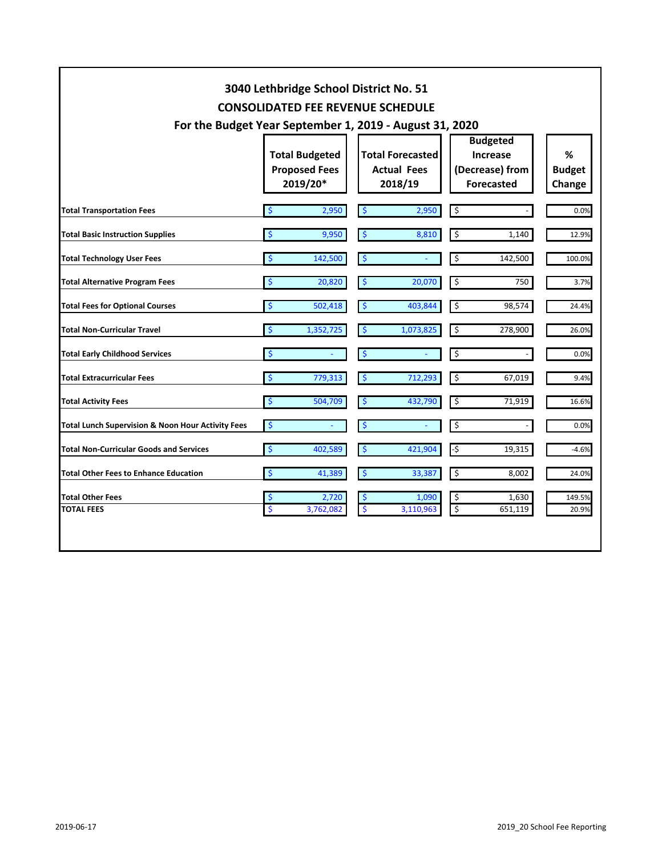| 3040 Lethbridge School District No. 51<br><b>CONSOLIDATED FEE REVENUE SCHEDULE</b> |                                                                                                                      |                    |                                                          |                    |                                                                            |                  |                              |  |  |
|------------------------------------------------------------------------------------|----------------------------------------------------------------------------------------------------------------------|--------------------|----------------------------------------------------------|--------------------|----------------------------------------------------------------------------|------------------|------------------------------|--|--|
|                                                                                    | For the Budget Year September 1, 2019 - August 31, 2020<br><b>Total Budgeted</b><br><b>Proposed Fees</b><br>2019/20* |                    | <b>Total Forecasted</b><br><b>Actual Fees</b><br>2018/19 |                    | <b>Budgeted</b><br><b>Increase</b><br>(Decrease) from<br><b>Forecasted</b> |                  | %<br><b>Budget</b><br>Change |  |  |
| <b>Total Transportation Fees</b>                                                   | $\zeta$                                                                                                              | 2,950              | $\ddot{\bm{\zeta}}$                                      | 2,950              | $\overline{\mathbf{S}}$                                                    |                  | 0.0%                         |  |  |
| <b>Total Basic Instruction Supplies</b>                                            | \$                                                                                                                   | 9,950              | -\$                                                      | 8,810              | \$                                                                         | 1,140            | 12.9%                        |  |  |
| <b>Total Technology User Fees</b>                                                  | \$                                                                                                                   | 142,500            | \$                                                       |                    | \$                                                                         | 142,500          | 100.0%                       |  |  |
| <b>Total Alternative Program Fees</b>                                              | \$                                                                                                                   | 20,820             | \$                                                       | 20,070             | \$                                                                         | 750              | 3.7%                         |  |  |
| <b>Total Fees for Optional Courses</b>                                             | \$                                                                                                                   | 502,418            | $\zeta$                                                  | 403,844            | \$                                                                         | 98,574           | 24.4%                        |  |  |
| <b>Total Non-Curricular Travel</b>                                                 | \$                                                                                                                   | 1,352,725          | \$                                                       | 1,073,825          | \$                                                                         | 278,900          | 26.0%                        |  |  |
| <b>Total Early Childhood Services</b>                                              | \$                                                                                                                   |                    | $\mathbf{\hat{S}}$                                       |                    | \$                                                                         |                  | 0.0%                         |  |  |
| <b>Total Extracurricular Fees</b>                                                  | \$                                                                                                                   | 779,313            | $\mathbf{S}$                                             | 712.293            | \$                                                                         | 67,019           | 9.4%                         |  |  |
| Total Activity Fees                                                                | <b>S</b>                                                                                                             | 504,709            | $\mathsf{S}$                                             | 432,790            | \$                                                                         | 71,919           | 16.6%                        |  |  |
| Total Lunch Supervision & Noon Hour Activity Fees                                  | $\ddot{\mathsf{S}}$                                                                                                  |                    | $\frac{1}{2}$                                            |                    | \$                                                                         |                  | 0.0%                         |  |  |
| <b>Total Non-Curricular Goods and Services</b>                                     | \$                                                                                                                   | 402,589            | $\zeta$                                                  | 421,904            | -\$                                                                        | 19,315           | $-4.6%$                      |  |  |
| <b>Total Other Fees to Enhance Education</b>                                       | \$                                                                                                                   | 41,389             | \$                                                       | 33,387             | \$                                                                         | 8,002            | 24.0%                        |  |  |
| <b>Total Other Fees</b><br><b>TOTAL FEES</b>                                       | \$<br>\$                                                                                                             | 2,720<br>3,762,082 | \$<br>$\ddot{\varsigma}$                                 | 1,090<br>3,110,963 | \$<br>$\overline{\xi}$                                                     | 1,630<br>651,119 | 149.5%<br>20.9%              |  |  |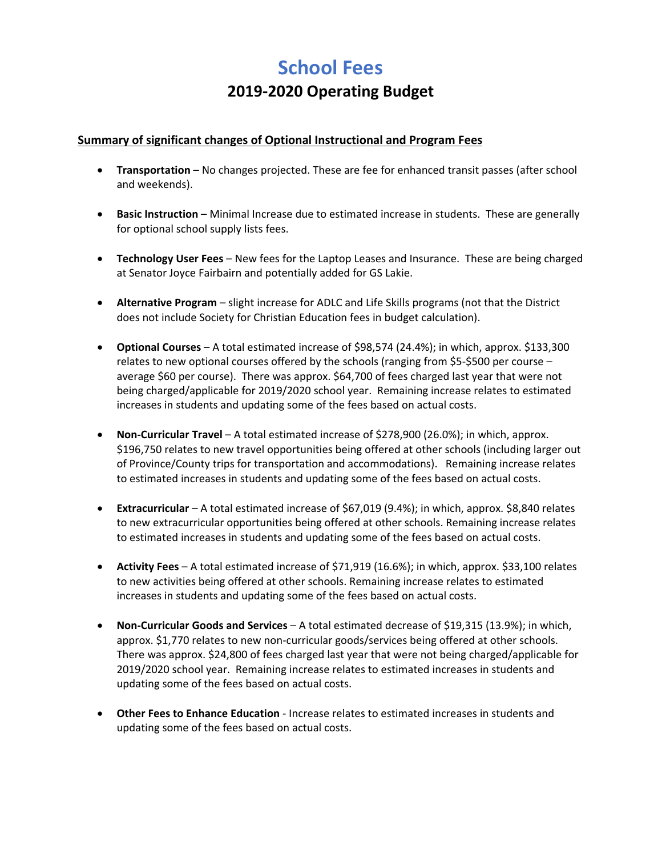# **School Fees 2019‐2020 Operating Budget**

# **Summary of significant changes of Optional Instructional and Program Fees**

- **Transportation** No changes projected. These are fee for enhanced transit passes (after school and weekends).
- **Basic Instruction** Minimal Increase due to estimated increase in students. These are generally for optional school supply lists fees.
- **Technology User Fees**  New fees for the Laptop Leases and Insurance. These are being charged at Senator Joyce Fairbairn and potentially added for GS Lakie.
- **Alternative Program** slight increase for ADLC and Life Skills programs (not that the District does not include Society for Christian Education fees in budget calculation).
- **Optional Courses** A total estimated increase of \$98,574 (24.4%); in which, approx. \$133,300 relates to new optional courses offered by the schools (ranging from \$5‐\$500 per course – average \$60 per course). There was approx. \$64,700 of fees charged last year that were not being charged/applicable for 2019/2020 school year. Remaining increase relates to estimated increases in students and updating some of the fees based on actual costs.
- **Non‐Curricular Travel** A total estimated increase of \$278,900 (26.0%); in which, approx. \$196,750 relates to new travel opportunities being offered at other schools (including larger out of Province/County trips for transportation and accommodations). Remaining increase relates to estimated increases in students and updating some of the fees based on actual costs.
- **Extracurricular** A total estimated increase of \$67,019 (9.4%); in which, approx. \$8,840 relates to new extracurricular opportunities being offered at other schools. Remaining increase relates to estimated increases in students and updating some of the fees based on actual costs.
- **Activity Fees** A total estimated increase of \$71,919 (16.6%); in which, approx. \$33,100 relates to new activities being offered at other schools. Remaining increase relates to estimated increases in students and updating some of the fees based on actual costs.
- **Non‐Curricular Goods and Services** A total estimated decrease of \$19,315 (13.9%); in which, approx. \$1,770 relates to new non-curricular goods/services being offered at other schools. There was approx. \$24,800 of fees charged last year that were not being charged/applicable for 2019/2020 school year. Remaining increase relates to estimated increases in students and updating some of the fees based on actual costs.
- **Other Fees to Enhance Education** Increase relates to estimated increases in students and updating some of the fees based on actual costs.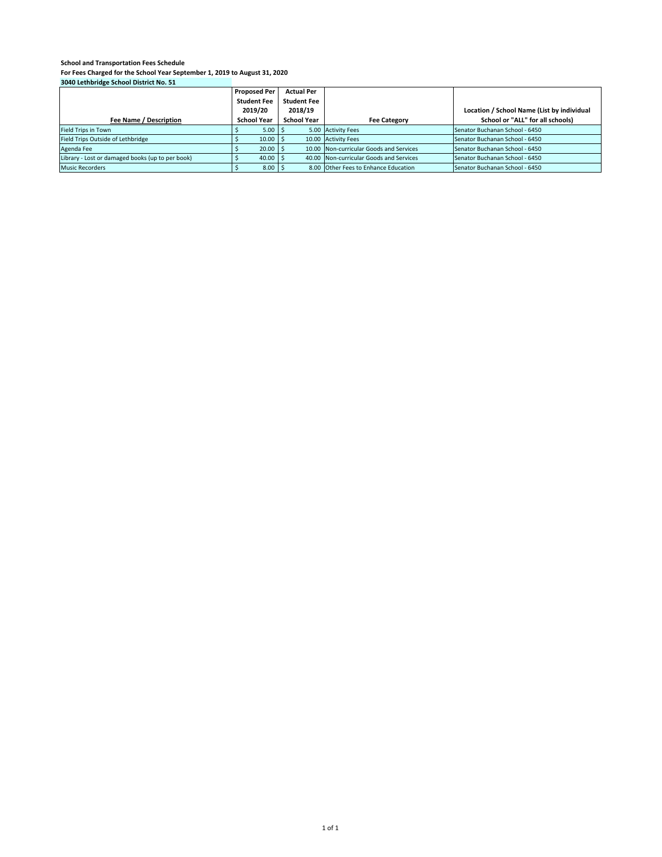|                                                  | <b>Proposed Per</b> | <b>Actual Per</b>  |                                         |                                            |
|--------------------------------------------------|---------------------|--------------------|-----------------------------------------|--------------------------------------------|
|                                                  | <b>Student Fee</b>  | <b>Student Fee</b> |                                         |                                            |
|                                                  | 2019/20             | 2018/19            |                                         | Location / School Name (List by individual |
| Fee Name / Description                           | <b>School Year</b>  | <b>School Year</b> | <b>Fee Category</b>                     | School or "ALL" for all schools)           |
| <b>Field Trips in Town</b>                       | 5.00                |                    | 5.00 Activity Fees                      | Senator Buchanan School - 6450             |
| Field Trips Outside of Lethbridge                | 10.00               |                    | 10.00 Activity Fees                     | Senator Buchanan School - 6450             |
| Agenda Fee                                       | 20.00               |                    | 10.00 Non-curricular Goods and Services | Senator Buchanan School - 6450             |
| Library - Lost or damaged books (up to per book) | 40.00               |                    | 40.00 Non-curricular Goods and Services | Senator Buchanan School - 6450             |
| <b>Music Recorders</b>                           | $8.00$   9          |                    | 8.00 Other Fees to Enhance Education    | Senator Buchanan School - 6450             |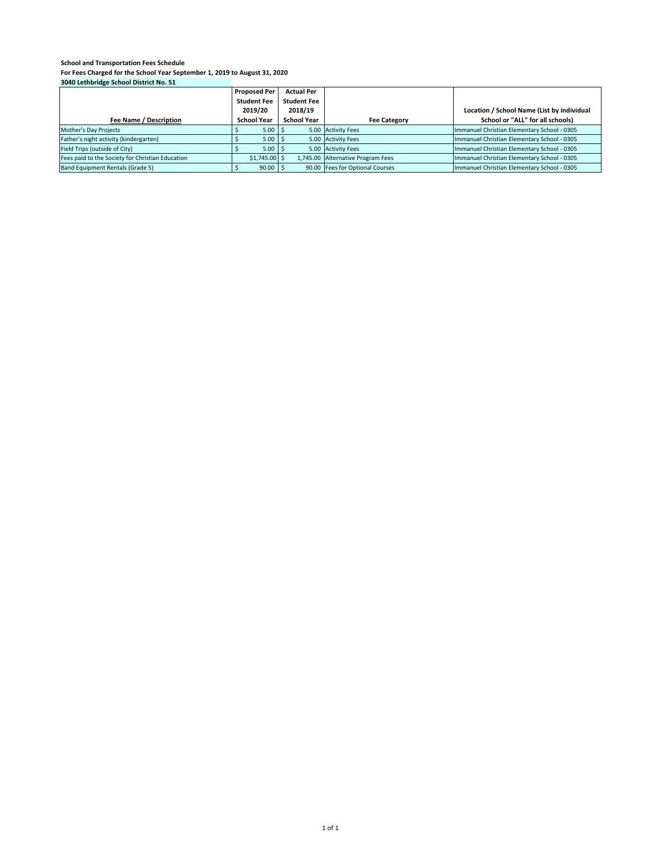|                                                  | <b>Proposed Per</b> | <b>Actual Per</b>  |                                   |                                             |
|--------------------------------------------------|---------------------|--------------------|-----------------------------------|---------------------------------------------|
|                                                  | <b>Student Fee</b>  | <b>Student Fee</b> |                                   |                                             |
|                                                  | 2019/20             | 2018/19            |                                   | Location / School Name (List by individual  |
| Fee Name / Description                           | <b>School Year</b>  | <b>School Year</b> | <b>Fee Category</b>               | School or "ALL" for all schools)            |
| Mother's Day Projects                            | 5.00                | 1 I S              | 5.00 Activity Fees                | Immanuel Christian Elementary School - 0305 |
| Father's night activity (kindergarten)           | $5.00$ S            |                    | 5.00 Activity Fees                | Immanuel Christian Elementary School - 0305 |
| Field Trips (outside of City)                    | $5.00$ S            |                    | 5.00 Activity Fees                | Immanuel Christian Elementary School - 0305 |
| Fees paid to the Society for Christian Education | $$1,745.00$ \$      |                    | 1,745.00 Alternative Program Fees | Immanuel Christian Elementary School - 0305 |
| Band Equipment Rentals (Grade 5)                 | $90.00$ \$          |                    | 90.00 Fees for Optional Courses   | Immanuel Christian Elementary School - 0305 |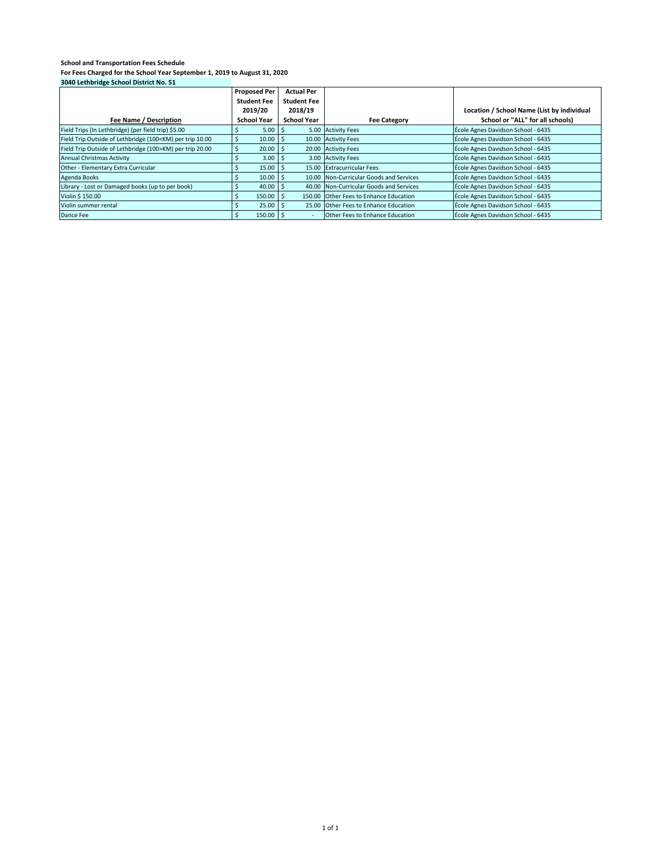| $30 - 6$ . Center take serioor processes too. 31                                                                                                                               |                     |                    |                                         |                                            |
|--------------------------------------------------------------------------------------------------------------------------------------------------------------------------------|---------------------|--------------------|-----------------------------------------|--------------------------------------------|
|                                                                                                                                                                                | <b>Proposed Per</b> | <b>Actual Per</b>  |                                         |                                            |
|                                                                                                                                                                                | <b>Student Fee</b>  | <b>Student Fee</b> |                                         |                                            |
|                                                                                                                                                                                | 2019/20             | 2018/19            |                                         | Location / School Name (List by individual |
| Fee Name / Description                                                                                                                                                         | <b>School Year</b>  | <b>School Year</b> | <b>Fee Category</b>                     | School or "ALL" for all schools)           |
| Field Trips (In Lethbridge) (per field trip) \$5.00                                                                                                                            | 5.00                |                    | 5.00 Activity Fees                      | École Agnes Davidson School - 6435         |
| Field Trip Outside of Lethbridge (100 <km) 10.00<="" per="" td="" trip=""><td>10.00</td><td></td><td>10.00 Activity Fees</td><td>École Agnes Davidson School - 6435</td></km)> | 10.00               |                    | 10.00 Activity Fees                     | École Agnes Davidson School - 6435         |
| Field Trip Outside of Lethbridge (100>KM) per trip 20.00                                                                                                                       | 20.00               |                    | 20.00 Activity Fees                     | École Agnes Davidson School - 6435         |
| Annual Christmas Activity                                                                                                                                                      | $3.00$ S            |                    | 3.00 Activity Fees                      | École Agnes Davidson School - 6435         |
| Other - Elementary Extra Curricular                                                                                                                                            | $15.00$   \$        |                    | 15.00 Extracurricular Fees              | École Agnes Davidson School - 6435         |
| Agenda Books                                                                                                                                                                   | 10.00               |                    | 10.00 Non-Curricular Goods and Services | École Agnes Davidson School - 6435         |
| Library - Lost or Damaged books (up to per book)                                                                                                                               | 40.00               |                    | 40.00 Non-Curricular Goods and Services | École Agnes Davidson School - 6435         |
| Violin \$ 150.00                                                                                                                                                               | 150.00              |                    | 150.00 Other Fees to Enhance Education  | École Agnes Davidson School - 6435         |
| Violin summer rental                                                                                                                                                           | 25.00               |                    | 25.00 Other Fees to Enhance Education   | École Agnes Davidson School - 6435         |
| Dance Fee                                                                                                                                                                      | 150.00              |                    | <b>Other Fees to Enhance Education</b>  | École Agnes Davidson School - 6435         |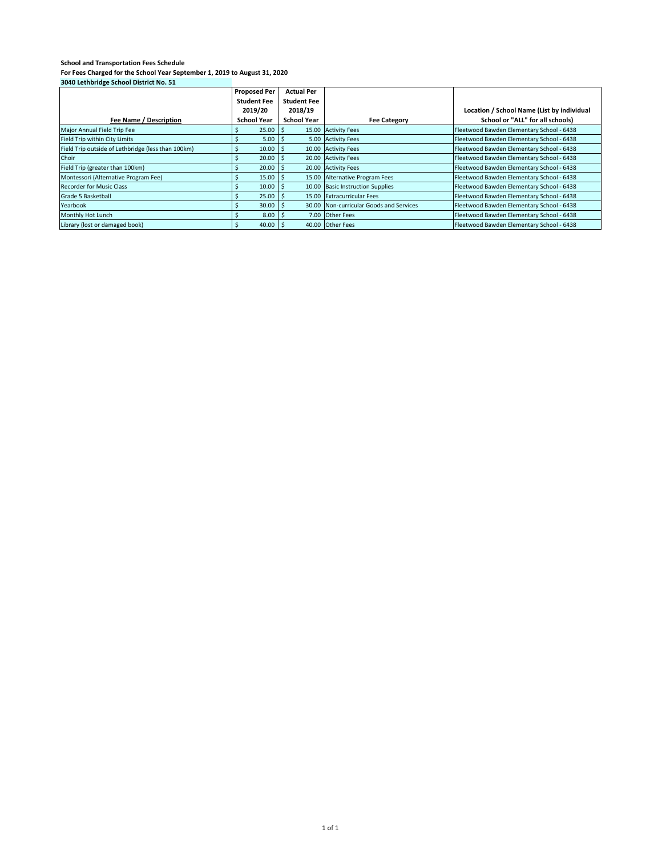| 3040 LELIIDI IUNE SEIIOOI DISLIIEL ITOI 31         |                     |                    |                                         |                                            |
|----------------------------------------------------|---------------------|--------------------|-----------------------------------------|--------------------------------------------|
|                                                    | <b>Proposed Per</b> | <b>Actual Per</b>  |                                         |                                            |
|                                                    | <b>Student Fee</b>  | <b>Student Fee</b> |                                         |                                            |
|                                                    | 2019/20             | 2018/19            |                                         | Location / School Name (List by individual |
| Fee Name / Description                             | <b>School Year</b>  | <b>School Year</b> | <b>Fee Category</b>                     | School or "ALL" for all schools)           |
| Major Annual Field Trip Fee                        | 25.00               |                    | 15.00 Activity Fees                     | Fleetwood Bawden Elementary School - 6438  |
| Field Trip within City Limits                      | 5.00                | -5                 | 5.00 Activity Fees                      | Fleetwood Bawden Elementary School - 6438  |
| Field Trip outside of Lethbridge (less than 100km) | 10.00               |                    | 10.00 Activity Fees                     | Fleetwood Bawden Elementary School - 6438  |
| Choir                                              | 20.00               |                    | 20.00 Activity Fees                     | Fleetwood Bawden Elementary School - 6438  |
| Field Trip (greater than 100km)                    | 20.00               |                    | 20.00 Activity Fees                     | Fleetwood Bawden Elementary School - 6438  |
| Montessori (Alternative Program Fee)               | 15.00               |                    | 15.00 Alternative Program Fees          | Fleetwood Bawden Elementary School - 6438  |
| <b>Recorder for Music Class</b>                    | 10.00               |                    | 10.00 Basic Instruction Supplies        | Fleetwood Bawden Elementary School - 6438  |
| Grade 5 Basketball                                 | 25.00               |                    | 15.00 Extracurricular Fees              | Fleetwood Bawden Elementary School - 6438  |
| Yearbook                                           | 30.00               |                    | 30.00 Non-curricular Goods and Services | Fleetwood Bawden Elementary School - 6438  |
| Monthly Hot Lunch                                  | 8.00                | -5                 | 7.00 Other Fees                         | Fleetwood Bawden Elementary School - 6438  |
| Library (lost or damaged book)                     | 40.00               |                    | 40.00 Other Fees                        | Fleetwood Bawden Elementary School - 6438  |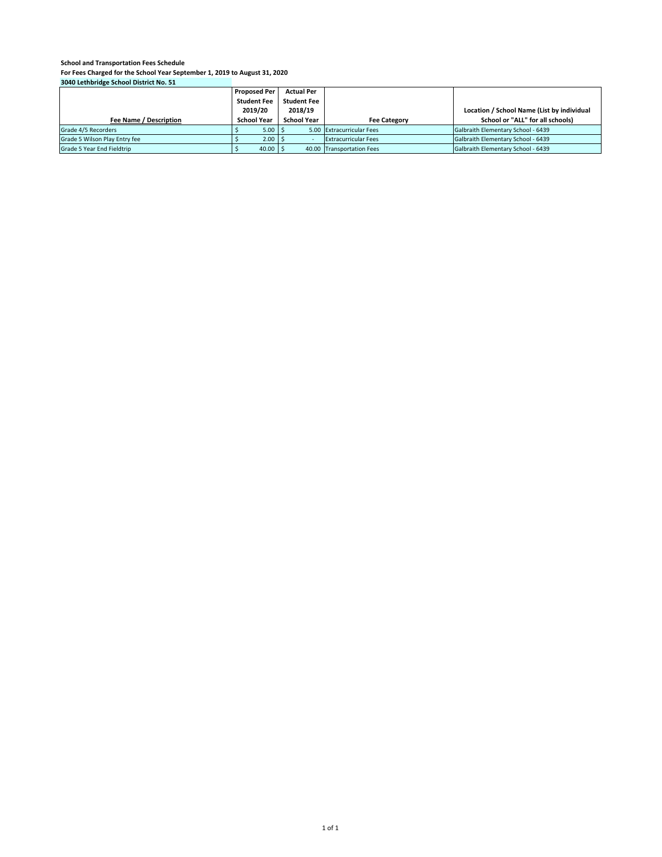|                               | <b>Proposed Per</b> | <b>Actual Per</b>  |                             |                                            |
|-------------------------------|---------------------|--------------------|-----------------------------|--------------------------------------------|
|                               | <b>Student Fee</b>  | <b>Student Fee</b> |                             |                                            |
|                               | 2019/20             | 2018/19            |                             | Location / School Name (List by individual |
| Fee Name / Description        | <b>School Year</b>  | <b>School Year</b> | <b>Fee Category</b>         | School or "ALL" for all schools)           |
| Grade 4/5 Recorders           | $5.00$ S            |                    | 5.00 Extracurricular Fees   | Galbraith Elementary School - 6439         |
| Grade 5 Wilson Play Entry fee | $2.00$ S            |                    | <b>Extracurricular Fees</b> | Galbraith Elementary School - 6439         |
| Grade 5 Year End Fieldtrip    | $40.00$ \$          |                    | 40.00 Transportation Fees   | Galbraith Elementary School - 6439         |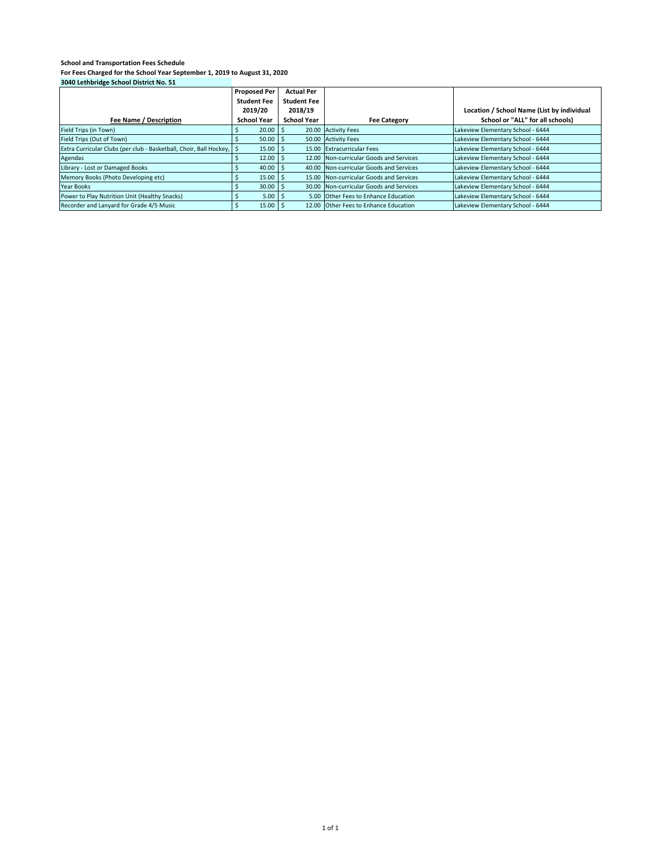|                                                                      | <b>Proposed Per</b> | <b>Actual Per</b>  |                                         |                                            |
|----------------------------------------------------------------------|---------------------|--------------------|-----------------------------------------|--------------------------------------------|
|                                                                      | <b>Student Fee</b>  | <b>Student Fee</b> |                                         |                                            |
|                                                                      | 2019/20             | 2018/19            |                                         | Location / School Name (List by individual |
| Fee Name / Description                                               | <b>School Year</b>  | <b>School Year</b> | <b>Fee Category</b>                     | School or "ALL" for all schools)           |
| Field Trips (in Town)                                                | 20.00               |                    | 20.00 Activity Fees                     | Lakeview Elementary School - 6444          |
| Field Trips (Out of Town)                                            | 50.00               |                    | 50.00 Activity Fees                     | Lakeview Elementary School - 6444          |
| Extra Curricular Clubs (per club - Basketball, Choir, Ball Hockey, S | 15.00               |                    | 15.00 Extracurricular Fees              | Lakeview Elementary School - 6444          |
| Agendas                                                              | $12.00$ S           |                    | 12.00 Non-curricular Goods and Services | Lakeview Elementary School - 6444          |
| Library - Lost or Damaged Books                                      | 40.00               |                    | 40.00 Non-curricular Goods and Services | Lakeview Elementary School - 6444          |
| Memory Books (Photo Developing etc)                                  | 15.00               |                    | 15.00 Non-curricular Goods and Services | Lakeview Elementary School - 6444          |
| Year Books                                                           | 30.00               |                    | 30.00 Non-curricular Goods and Services | Lakeview Elementary School - 6444          |
| Power to Play Nutrition Unit (Healthy Snacks)                        | $5.00$ $\vert$ \$   |                    | 5.00 Other Fees to Enhance Education    | Lakeview Elementary School - 6444          |
| Recorder and Lanyard for Grade 4/5 Music                             | $15.00$   \$        |                    | 12.00 Other Fees to Enhance Education   | Lakeview Elementary School - 6444          |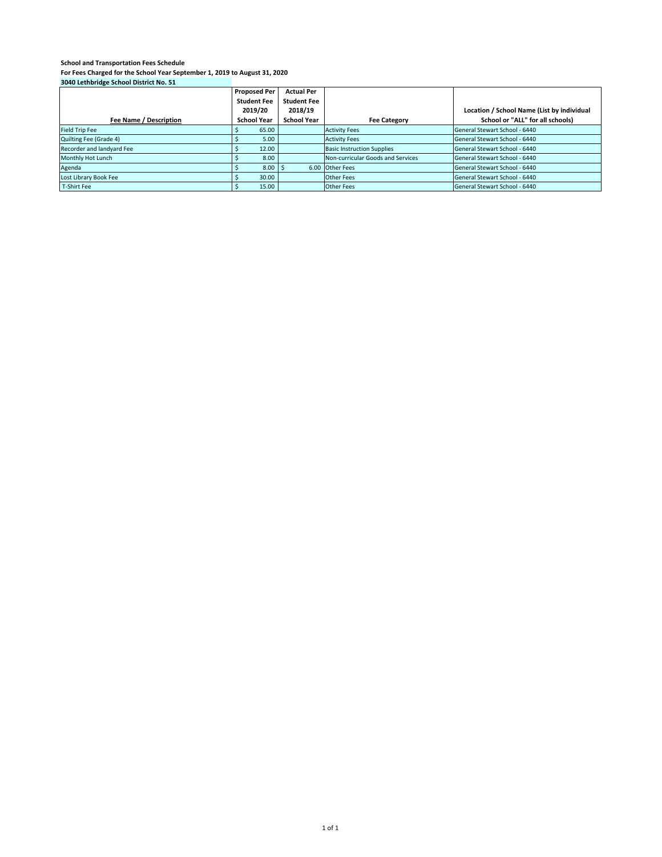| $30 - 6$ . Center take serioor processes too. 31 |                     |                    |                                   |                                            |
|--------------------------------------------------|---------------------|--------------------|-----------------------------------|--------------------------------------------|
|                                                  | <b>Proposed Per</b> | <b>Actual Per</b>  |                                   |                                            |
|                                                  | <b>Student Fee</b>  | <b>Student Fee</b> |                                   |                                            |
|                                                  | 2019/20             | 2018/19            |                                   | Location / School Name (List by individual |
| Fee Name / Description                           | <b>School Year</b>  | <b>School Year</b> | <b>Fee Category</b>               | School or "ALL" for all schools)           |
| <b>Field Trip Fee</b>                            | 65.00               |                    | <b>Activity Fees</b>              | General Stewart School - 6440              |
| Quilting Fee (Grade 4)                           | 5.00                |                    | <b>Activity Fees</b>              | General Stewart School - 6440              |
| Recorder and landyard Fee                        | 12.00               |                    | <b>Basic Instruction Supplies</b> | General Stewart School - 6440              |
| Monthly Hot Lunch                                | 8.00                |                    | Non-curricular Goods and Services | General Stewart School - 6440              |
| Agenda                                           | 8.00                |                    | 6.00 Other Fees                   | General Stewart School - 6440              |
| Lost Library Book Fee                            | 30.00               |                    | <b>Other Fees</b>                 | General Stewart School - 6440              |
| T-Shirt Fee                                      | 15.00               |                    | <b>Other Fees</b>                 | General Stewart School - 6440              |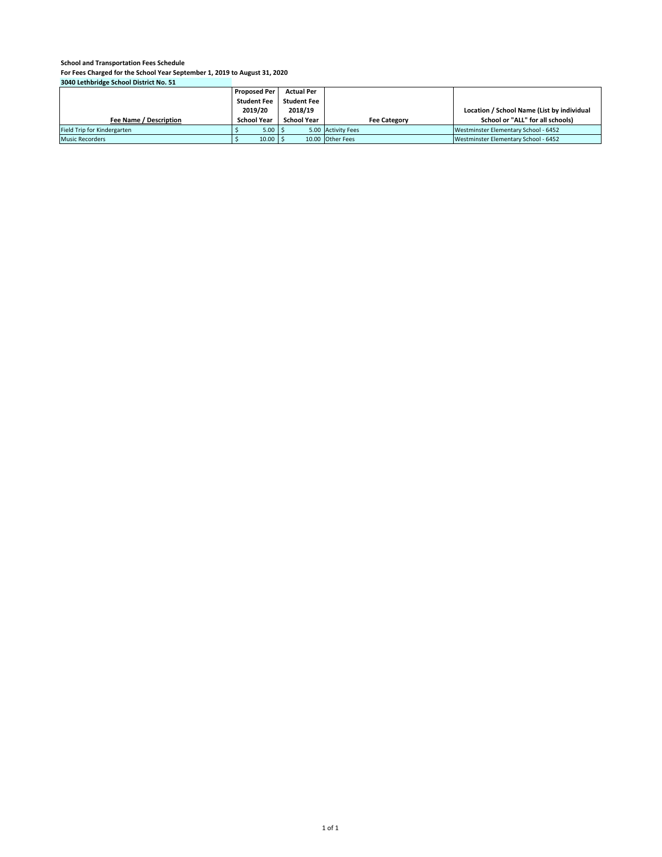|                             | <b>Proposed Per</b> | <b>Actual Per</b>  |                     |                                            |
|-----------------------------|---------------------|--------------------|---------------------|--------------------------------------------|
|                             | <b>Student Fee</b>  | <b>Student Fee</b> |                     |                                            |
|                             | 2019/20             | 2018/19            |                     | Location / School Name (List by individual |
| Fee Name / Description      | <b>School Year</b>  | <b>School Year</b> | <b>Fee Category</b> | School or "ALL" for all schools)           |
| Field Trip for Kindergarten | $5.00$ S            |                    | 5.00 Activity Fees  | Westminster Elementary School - 6452       |
| <b>Music Recorders</b>      | $10.00$ \$          |                    | 10.00 Other Fees    | Westminster Elementary School - 6452       |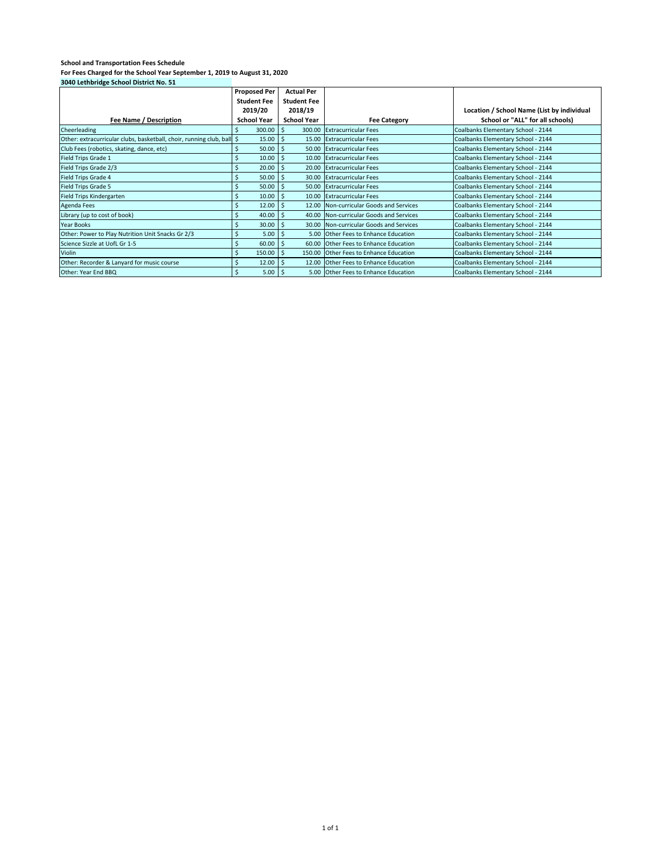| 3040 Lethbridge School District No. 51                                 |                       |                    |                                         |                                            |
|------------------------------------------------------------------------|-----------------------|--------------------|-----------------------------------------|--------------------------------------------|
|                                                                        | <b>Proposed Per</b>   | <b>Actual Per</b>  |                                         |                                            |
|                                                                        | <b>Student Fee</b>    | <b>Student Fee</b> |                                         |                                            |
|                                                                        | 2019/20               | 2018/19            |                                         | Location / School Name (List by individual |
| Fee Name / Description                                                 | <b>School Year</b>    | <b>School Year</b> | <b>Fee Category</b>                     | School or "ALL" for all schools)           |
| Cheerleading                                                           | 300.00                | <sup>5</sup>       | 300.00 Extracurricular Fees             | Coalbanks Elementary School - 2144         |
| Other: extracurricular clubs, basketball, choir, running club, ball \$ | 15.00                 | -S                 | 15.00 Extracurricular Fees              | Coalbanks Elementary School - 2144         |
| Club Fees (robotics, skating, dance, etc)                              | 50.00                 | -\$                | 50.00 Extracurricular Fees              | Coalbanks Elementary School - 2144         |
| Field Trips Grade 1                                                    | 10.00                 | -\$                | 10.00 Extracurricular Fees              | Coalbanks Elementary School - 2144         |
| Field Trips Grade 2/3                                                  | 20.00                 | -\$                | 20.00 Extracurricular Fees              | Coalbanks Elementary School - 2144         |
| Field Trips Grade 4                                                    | 50.00                 | -Ś                 | 30.00 Extracurricular Fees              | Coalbanks Elementary School - 2144         |
| Field Trips Grade 5                                                    | 50.00                 | -Ś                 | 50.00 Extracurricular Fees              | Coalbanks Elementary School - 2144         |
| Field Trips Kindergarten                                               | Ś<br>10.00            | -\$                | 10.00 Extracurricular Fees              | Coalbanks Elementary School - 2144         |
| <b>Agenda Fees</b>                                                     | \$<br>12.00           | -\$                | 12.00 Non-curricular Goods and Services | Coalbanks Elementary School - 2144         |
| Library (up to cost of book)                                           | 40.00                 | -\$                | 40.00 Non-curricular Goods and Services | Coalbanks Elementary School - 2144         |
| Year Books                                                             | 30.00                 |                    | 30.00 Non-curricular Goods and Services | Coalbanks Elementary School - 2144         |
| Other: Power to Play Nutrition Unit Snacks Gr 2/3                      | 5.00                  | -S                 | 5.00 Other Fees to Enhance Education    | Coalbanks Elementary School - 2144         |
| Science Sizzle at UofL Gr 1-5                                          | 60.00<br>Ś            | -\$                | 60.00 Other Fees to Enhance Education   | Coalbanks Elementary School - 2144         |
| Violin                                                                 | Ś<br>150.00           | -\$                | 150.00 Other Fees to Enhance Education  | Coalbanks Elementary School - 2144         |
| Other: Recorder & Lanyard for music course                             | $\mathsf{S}$<br>12.00 | -\$                | 12.00 Other Fees to Enhance Education   | Coalbanks Elementary School - 2144         |
| Other: Year End BBQ                                                    | $5.00$   \$           |                    | 5.00 Other Fees to Enhance Education    | Coalbanks Elementary School - 2144         |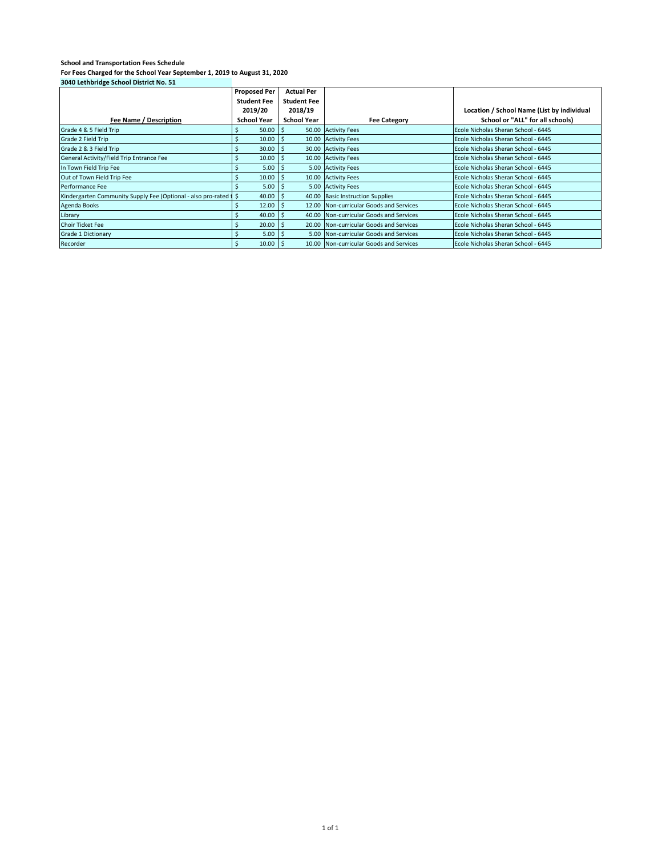| 3040 Lethbridge School District No. 51                            |                     |                    |                                         |                                            |
|-------------------------------------------------------------------|---------------------|--------------------|-----------------------------------------|--------------------------------------------|
|                                                                   | <b>Proposed Per</b> | <b>Actual Per</b>  |                                         |                                            |
|                                                                   | <b>Student Fee</b>  | <b>Student Fee</b> |                                         |                                            |
|                                                                   | 2019/20             | 2018/19            |                                         | Location / School Name (List by individual |
| Fee Name / Description                                            | <b>School Year</b>  | <b>School Year</b> | <b>Fee Category</b>                     | School or "ALL" for all schools)           |
| Grade 4 & 5 Field Trip                                            | 50.00               | -\$                | 50.00 Activity Fees                     | Ecole Nicholas Sheran School - 6445        |
| Grade 2 Field Trip                                                | 10.00               | -S                 | 10.00 Activity Fees                     | Ecole Nicholas Sheran School - 6445        |
| Grade 2 & 3 Field Trip                                            | 30.00               | -\$                | 30.00 Activity Fees                     | Ecole Nicholas Sheran School - 6445        |
| General Activity/Field Trip Entrance Fee                          | 10.00               | -Ś                 | 10.00 Activity Fees                     | Ecole Nicholas Sheran School - 6445        |
| In Town Field Trip Fee                                            | 5.00                | -S                 | 5.00 Activity Fees                      | Ecole Nicholas Sheran School - 6445        |
| Out of Town Field Trip Fee                                        | 10.00               |                    | 10.00 Activity Fees                     | Ecole Nicholas Sheran School - 6445        |
| Performance Fee                                                   | 5.00                | l \$               | 5.00 Activity Fees                      | Ecole Nicholas Sheran School - 6445        |
| Kindergarten Community Supply Fee (Optional - also pro-rated 1 \$ | 40.00               |                    | 40.00 Basic Instruction Supplies        | Ecole Nicholas Sheran School - 6445        |
| <b>Agenda Books</b>                                               | 12.00               | -S                 | 12.00 Non-curricular Goods and Services | Ecole Nicholas Sheran School - 6445        |
| Library                                                           | 40.00               | -\$                | 40.00 Non-curricular Goods and Services | Ecole Nicholas Sheran School - 6445        |
| <b>Choir Ticket Fee</b>                                           | 20.00               | -\$                | 20.00 Non-curricular Goods and Services | Ecole Nicholas Sheran School - 6445        |
| <b>Grade 1 Dictionary</b>                                         | 5.00                | -S                 | 5.00 Non-curricular Goods and Services  | Ecole Nicholas Sheran School - 6445        |
| Recorder                                                          | 10.00<br>.s         | l S                | 10.00 Non-curricular Goods and Services | Ecole Nicholas Sheran School - 6445        |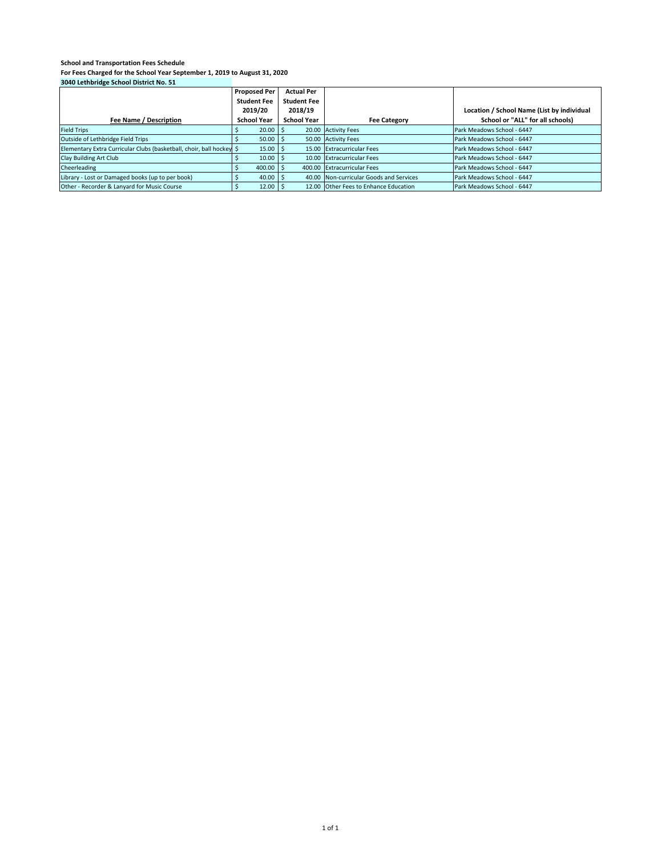|                                                                      | <b>Proposed Per</b> | <b>Actual Per</b>  |                                         |                                            |
|----------------------------------------------------------------------|---------------------|--------------------|-----------------------------------------|--------------------------------------------|
|                                                                      | <b>Student Fee</b>  | <b>Student Fee</b> |                                         |                                            |
|                                                                      | 2019/20             | 2018/19            |                                         | Location / School Name (List by individual |
| Fee Name / Description                                               | <b>School Year</b>  | <b>School Year</b> | <b>Fee Category</b>                     | School or "ALL" for all schools)           |
| <b>Field Trips</b>                                                   | $20.00$ \$          |                    | 20.00 Activity Fees                     | Park Meadows School - 6447                 |
| Outside of Lethbridge Field Trips                                    | 50.00               |                    | 50.00 Activity Fees                     | Park Meadows School - 6447                 |
| Elementary Extra Curricular Clubs (basketball, choir, ball hockey \$ | $15.00$   \$        |                    | 15.00 Extracurricular Fees              | Park Meadows School - 6447                 |
| Clay Building Art Club                                               | $10.00$ \$          |                    | 10.00 Extracurricular Fees              | Park Meadows School - 6447                 |
| Cheerleading                                                         | 400.00              |                    | 400.00 Extracurricular Fees             | Park Meadows School - 6447                 |
| Library - Lost or Damaged books (up to per book)                     | $40.00$ \$          |                    | 40.00 Non-curricular Goods and Services | Park Meadows School - 6447                 |
| Other - Recorder & Lanyard for Music Course                          | $12.00$ \$          |                    | 12.00 Other Fees to Enhance Education   | Park Meadows School - 6447                 |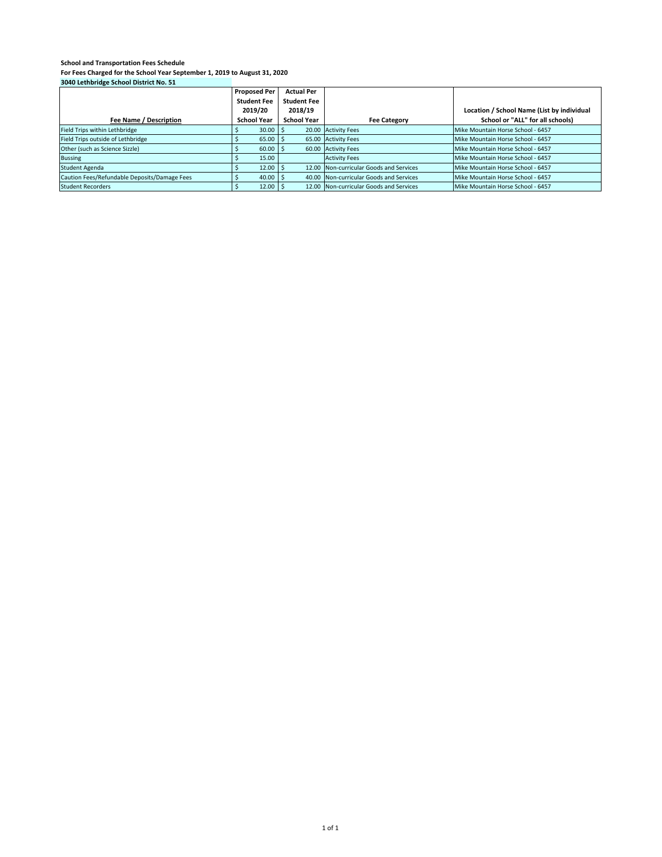|                                              | <b>Proposed Per</b> | <b>Actual Per</b>  |                                         |                                            |
|----------------------------------------------|---------------------|--------------------|-----------------------------------------|--------------------------------------------|
|                                              | <b>Student Fee</b>  | <b>Student Fee</b> |                                         |                                            |
|                                              | 2019/20             | 2018/19            |                                         | Location / School Name (List by individual |
| Fee Name / Description                       | <b>School Year</b>  | <b>School Year</b> | <b>Fee Category</b>                     | School or "ALL" for all schools)           |
| Field Trips within Lethbridge                | $30.00$   \$        |                    | 20.00 Activity Fees                     | Mike Mountain Horse School - 6457          |
| Field Trips outside of Lethbridge            | 65.00               |                    | 65.00 Activity Fees                     | Mike Mountain Horse School - 6457          |
| Other (such as Science Sizzle)               | $60.00$ \$          |                    | 60.00 Activity Fees                     | Mike Mountain Horse School - 6457          |
| <b>Bussing</b>                               | 15.00               |                    | <b>Activity Fees</b>                    | Mike Mountain Horse School - 6457          |
| <b>Student Agenda</b>                        | 12.00               |                    | 12.00 Non-curricular Goods and Services | Mike Mountain Horse School - 6457          |
| Caution Fees/Refundable Deposits/Damage Fees | 40.00               |                    | 40.00 Non-curricular Goods and Services | Mike Mountain Horse School - 6457          |
| <b>Student Recorders</b>                     | $12.00$   \$        |                    | 12.00 Non-curricular Goods and Services | Mike Mountain Horse School - 6457          |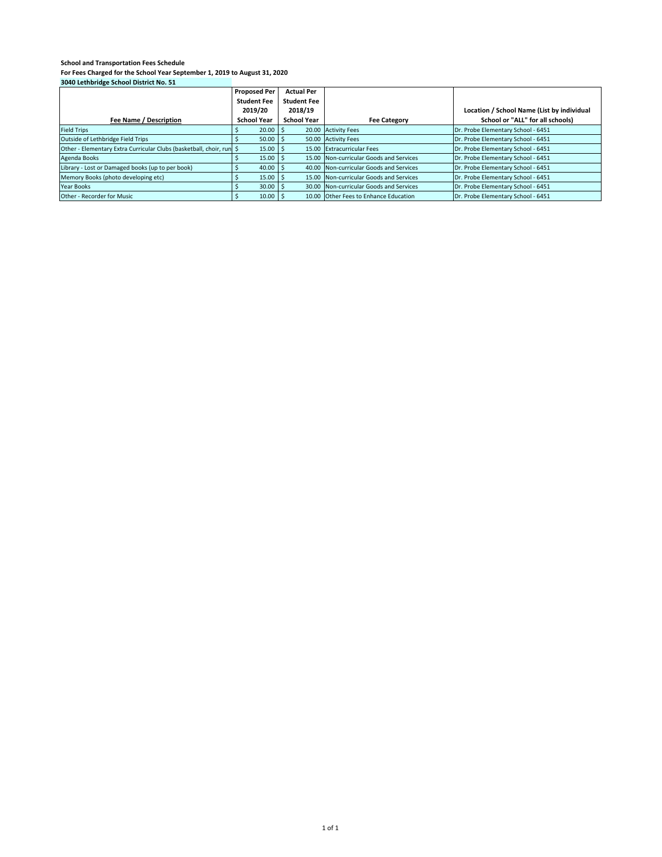| $30 - 6$ . Currently control is interested to $3 + 1$                |                     |                    |                                         |                                            |
|----------------------------------------------------------------------|---------------------|--------------------|-----------------------------------------|--------------------------------------------|
|                                                                      | <b>Proposed Per</b> | <b>Actual Per</b>  |                                         |                                            |
|                                                                      | <b>Student Fee</b>  | <b>Student Fee</b> |                                         |                                            |
|                                                                      | 2019/20             | 2018/19            |                                         | Location / School Name (List by individual |
| Fee Name / Description                                               | <b>School Year</b>  | <b>School Year</b> | <b>Fee Category</b>                     | School or "ALL" for all schools)           |
| <b>Field Trips</b>                                                   | 20.00               |                    | 20.00 Activity Fees                     | Dr. Probe Elementary School - 6451         |
| Outside of Lethbridge Field Trips                                    | $50.00$ \$          |                    | 50.00 Activity Fees                     | Dr. Probe Elementary School - 6451         |
| Other - Elementary Extra Curricular Clubs (basketball, choir, run \$ | $15.00$ \$          |                    | 15.00 Extracurricular Fees              | Dr. Probe Elementary School - 6451         |
| Agenda Books                                                         | $15.00$   \$        |                    | 15.00 Non-curricular Goods and Services | Dr. Probe Elementary School - 6451         |
| Library - Lost or Damaged books (up to per book)                     | 40.00               |                    | 40.00 Non-curricular Goods and Services | Dr. Probe Elementary School - 6451         |
| Memory Books (photo developing etc)                                  | 15.00               |                    | 15.00 Non-curricular Goods and Services | Dr. Probe Elementary School - 6451         |
| Year Books                                                           | 30.00               |                    | 30.00 Non-curricular Goods and Services | Dr. Probe Elementary School - 6451         |
| Other - Recorder for Music                                           | $10.00$ S           |                    | 10.00 Other Fees to Enhance Education   | Dr. Probe Elementary School - 6451         |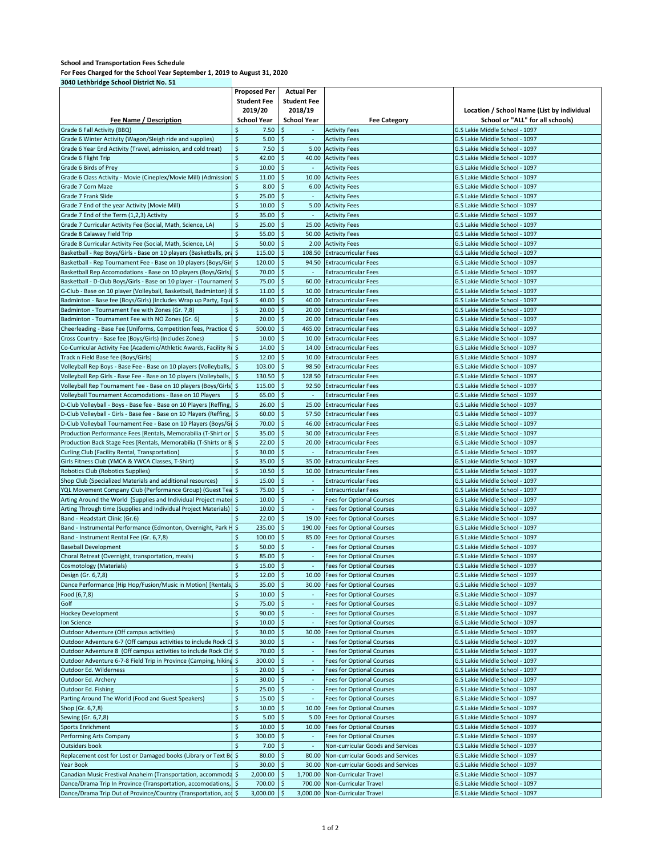|                                                                        | <b>Proposed Per</b>          | <b>Actual Per</b>                  |                                                                      |                                            |
|------------------------------------------------------------------------|------------------------------|------------------------------------|----------------------------------------------------------------------|--------------------------------------------|
|                                                                        | <b>Student Fee</b>           | <b>Student Fee</b>                 |                                                                      |                                            |
|                                                                        | 2019/20                      | 2018/19                            |                                                                      | Location / School Name (List by individual |
| Fee Name / Description                                                 | <b>School Year</b>           | <b>School Year</b>                 | <b>Fee Category</b>                                                  | School or "ALL" for all schools)           |
| Grade 6 Fall Activity (BBQ)                                            | Ś<br>7.50                    | \$                                 | <b>Activity Fees</b>                                                 | G.S Lakie Middle School - 1097             |
| Grade 6 Winter Activity (Wagon/Sleigh ride and supplies)               | \$<br>5.00                   | $\ddot{\varsigma}$                 | <b>Activity Fees</b>                                                 | G.S Lakie Middle School - 1097             |
| Grade 6 Year End Activity (Travel, admission, and cold treat)          | \$<br>7.50                   | $\frac{1}{2}$<br>5.00              | <b>Activity Fees</b>                                                 | G.S Lakie Middle School - 1097             |
| Grade 6 Flight Trip                                                    | $\dot{\mathsf{S}}$<br>42.00  | $\ddot{\mathsf{s}}$<br>40.00       |                                                                      | G.S Lakie Middle School - 1097             |
| Grade 6 Birds of Prey                                                  | $\dot{\mathsf{S}}$<br>10.00  | \$                                 | <b>Activity Fees</b>                                                 | G.S Lakie Middle School - 1097             |
| Grade 6 Class Activity - Movie (Cineplex/Movie Mill) (Admission \$     | 11.00                        | $\frac{1}{2}$                      | <b>Activity Fees</b>                                                 |                                            |
|                                                                        |                              | 10.00                              | <b>Activity Fees</b>                                                 | G.S Lakie Middle School - 1097             |
| Grade 7 Corn Maze                                                      | \$<br>8.00                   | \$<br>6.00                         | <b>Activity Fees</b>                                                 | G.S Lakie Middle School - 1097             |
| Grade 7 Frank Slide                                                    | \$<br>25.00                  | $\ddot{\varsigma}$<br>$\sim$       | <b>Activity Fees</b>                                                 | G.S Lakie Middle School - 1097             |
| Grade 7 End of the year Activity (Movie Mill)                          | \$<br>10.00                  | \$<br>5.00                         | <b>Activity Fees</b>                                                 | G.S Lakie Middle School - 1097             |
| Grade 7 End of the Term (1,2,3) Activity                               | \$<br>35.00                  | $\ddot{\varsigma}$<br>$\sim$       | <b>Activity Fees</b>                                                 | G.S Lakie Middle School - 1097             |
| Grade 7 Curricular Activity Fee (Social, Math, Science, LA)            | \$<br>25.00                  | \$<br>25.00                        | <b>Activity Fees</b>                                                 | G.S Lakie Middle School - 1097             |
| Grade 8 Calaway Field Trip                                             | \$<br>55.00                  | \$<br>50.00                        | <b>Activity Fees</b>                                                 | G.S Lakie Middle School - 1097             |
| Grade 8 Curricular Activity Fee (Social, Math, Science, LA)            | $\zeta$<br>50.00             | \$<br>2.00                         | <b>Activity Fees</b>                                                 | G.S Lakie Middle School - 1097             |
| Basketball - Rep Boys/Girls - Base on 10 players (Basketballs, pra \$  | 115.00                       | \$<br>108.50                       | <b>Extracurricular Fees</b>                                          | G.S Lakie Middle School - 1097             |
| Basketball - Rep Tournament Fee - Base on 10 players (Boys/Gir \$      | 120.00                       | \$<br>94.50                        | <b>Extracurricular Fees</b>                                          | G.S Lakie Middle School - 1097             |
| Basketball Rep Accomodations - Base on 10 players (Boys/Girls) \$      | 70.00                        | \$<br>$\sim$                       | <b>Extracurricular Fees</b>                                          | G.S Lakie Middle School - 1097             |
| Basketball - D-Club Boys/Girls - Base on 10 player - (Tournamen \$     | 75.00                        | $\ddot{\varsigma}$<br>60.00        | <b>Extracurricular Fees</b>                                          | G.S Lakie Middle School - 1097             |
| G-Club - Base on 10 player (Volleyball, Basketball, Badminton) (I \$   | 11.00                        | $\zeta$                            | 10.00 Extracurricular Fees                                           | G.S Lakie Middle School - 1097             |
| Badminton - Base fee (Boys/Girls) (Includes Wrap up Party, Equi \$     | 40.00                        | $\ddot{\varsigma}$                 | 40.00 Extracurricular Fees                                           | G.S Lakie Middle School - 1097             |
| Badminton - Tournament Fee with Zones (Gr. 7,8)                        | \$<br>20.00                  | \$<br>20.00                        | <b>Extracurricular Fees</b>                                          | G.S Lakie Middle School - 1097             |
| Badminton - Tournament Fee with NO Zones (Gr. 6)                       | \$<br>20.00                  | 20.00<br>\$                        | <b>Extracurricular Fees</b>                                          | G.S Lakie Middle School - 1097             |
| Cheerleading - Base Fee (Uniforms, Competition fees, Practice G        | $\zeta$<br>500.00            | \$<br>465.00                       | <b>Extracurricular Fees</b>                                          | G.S Lakie Middle School - 1097             |
| Cross Country - Base fee (Boys/Girls) (Includes Zones)                 | 10.00                        | \$<br>10.00                        | <b>Extracurricular Fees</b>                                          | G.S Lakie Middle School - 1097             |
| Co-Curricular Activity Fee (Academic/Athletic Awards, Facility Ru \$   | 14.00                        | \$<br>14.00                        | <b>Extracurricular Fees</b>                                          | G.S Lakie Middle School - 1097             |
| Track n Field Base fee (Boys/Girls)                                    | 12.00                        | \$<br>10.00                        | <b>Extracurricular Fees</b>                                          | G.S Lakie Middle School - 1097             |
| Volleyball Rep Boys - Base Fee - Base on 10 players (Volleyballs,      | $\ddot{\varsigma}$<br>103.00 | \$<br>98.50                        | <b>Extracurricular Fees</b>                                          | G.S Lakie Middle School - 1097             |
| Volleyball Rep Girls - Base Fee - Base on 10 players (Volleyballs,     | \$<br>130.50                 | \$<br>128.50                       | <b>Extracurricular Fees</b>                                          | G.S Lakie Middle School - 1097             |
|                                                                        | 115.00                       | \$<br>92.50                        | <b>Extracurricular Fees</b>                                          | G.S Lakie Middle School - 1097             |
| Volleyball Rep Tournament Fee - Base on 10 players (Boys/Girls) \$     |                              |                                    |                                                                      |                                            |
| Volleyball Tournament Accomodations - Base on 10 Players               | \$<br>65.00                  | \$                                 | <b>Extracurricular Fees</b>                                          | G.S Lakie Middle School - 1097             |
| D-Club Volleyball - Boys - Base fee - Base on 10 Players (Reffing, \$  | 26.00                        | $\mathsf{S}$<br>25.00              | <b>Extracurricular Fees</b>                                          | G.S Lakie Middle School - 1097             |
| D-Club Volleyball - Girls - Base fee - Base on 10 Players (Reffing, \$ | 60.00                        | \$                                 | 57.50 Extracurricular Fees                                           | G.S Lakie Middle School - 1097             |
| D-Club Volleyball Tournament Fee - Base on 10 Players (Boys/Gi \$      | 70.00                        | $\ddot{\varsigma}$<br>46.00        | <b>Extracurricular Fees</b>                                          | G.S Lakie Middle School - 1097             |
| Production Performance Fees [Rentals, Memorabilia (T-Shirt or   \$     | 35.00                        | $\ddot{\varsigma}$<br>30.00        | <b>Extracurricular Fees</b>                                          | G.S Lakie Middle School - 1097             |
| Production Back Stage Fees [Rentals, Memorabilia (T-Shirts or B \$     | 22.00                        | \$<br>20.00                        | <b>Extracurricular Fees</b>                                          | G.S Lakie Middle School - 1097             |
| Curling Club (Facility Rental, Transportation)                         | \$<br>30.00                  | \$<br>$\sim$                       | <b>Extracurricular Fees</b>                                          | G.S Lakie Middle School - 1097             |
| Girls Fitness Club (YMCA & YWCA Classes, T-Shirt)                      | \$<br>35.00                  | $\zeta$<br>35.00                   | <b>Extracurricular Fees</b>                                          | G.S Lakie Middle School - 1097             |
| Robotics Club (Robotics Supplies)                                      | \$<br>10.50                  | \$<br>10.00                        | <b>Extracurricular Fees</b>                                          | G.S Lakie Middle School - 1097             |
| Shop Club (Specialized Materials and additional resources)             | \$<br>15.00                  | \$<br>$\sim$                       | <b>Extracurricular Fees</b>                                          | G.S Lakie Middle School - 1097             |
| YQL Movement Company Club (Performance Group) (Guest Tea \$            | 75.00                        | \$<br>$\overline{\phantom{a}}$     | <b>Extracurricular Fees</b>                                          | G.S Lakie Middle School - 1097             |
| Arting Around the World (Supplies and Individual Project mater \$      | 10.00                        | \$<br>$\sim$                       | Fees for Optional Courses                                            | G.S Lakie Middle School - 1097             |
| Arting Through time (Supplies and Individual Project Materials)        | <b>S</b><br>10.00            | \$<br>$\sim$                       | <b>Fees for Optional Courses</b>                                     | G.S Lakie Middle School - 1097             |
| Band - Headstart Clinic (Gr.6)                                         | \$<br>22.00                  | \$<br>19.00                        | <b>Fees for Optional Courses</b>                                     | G.S Lakie Middle School - 1097             |
| Band - Instrumental Performance (Edmonton, Overnight, Park H \$        | 235.00                       | $\mathsf{\hat{S}}$                 | 190.00 Fees for Optional Courses                                     | G.S Lakie Middle School - 1097             |
| Band - Instrument Rental Fee (Gr. 6,7,8)                               | \$<br>100.00                 | $\frac{1}{2}$<br>85.00             | <b>Fees for Optional Courses</b>                                     | G.S Lakie Middle School - 1097             |
| <b>Baseball Development</b>                                            | \$<br>50.00                  | $\ddot{\varsigma}$<br>$\sim$       | Fees for Optional Courses                                            | G.S Lakie Middle School - 1097             |
| Choral Retreat (Overnight, transportation, meals)                      | $\ddot{\varsigma}$<br>85.00  | \$<br>$\sim$                       | <b>Fees for Optional Courses</b>                                     | G.S Lakie Middle School - 1097             |
| <b>Cosmotology (Materials)</b>                                         | \$<br>15.00                  | $\ddot{\varsigma}$                 | <b>Fees for Optional Courses</b>                                     | G.S Lakie Middle School - 1097             |
| Design (Gr. 6,7,8)                                                     | \$<br>12.00                  | $\zeta$                            | 10.00 Fees for Optional Courses                                      | G.S Lakie Middle School - 1097             |
| Dance Performance (Hip Hop/Fusion/Music in Motion) [Rentals] \$        | 35.00                        | \$<br>30.00                        | <b>Fees for Optional Courses</b>                                     | G.S Lakie Middle School - 1097             |
|                                                                        | \$                           |                                    |                                                                      | G.S Lakie Middle School - 1097             |
| Food (6,7,8)<br>Golf                                                   | 10.00<br>\$<br>75.00         | \$<br>$\ddot{\varsigma}$<br>$\sim$ | <b>Fees for Optional Courses</b><br><b>Fees for Optional Courses</b> |                                            |
|                                                                        |                              |                                    |                                                                      | G.S Lakie Middle School - 1097             |
| <b>Hockey Development</b>                                              | \$<br>90.00                  | $\zeta$                            | Fees for Optional Courses                                            | G.S Lakie Middle School - 1097             |
| Ion Science                                                            | $\zeta$<br>10.00             | \$<br>$\sim$                       | Fees for Optional Courses                                            | G.S Lakie Middle School - 1097             |
| Outdoor Adventure (Off campus activities)                              | $\mathsf{\hat{S}}$<br>30.00  | $\ddot{\mathsf{s}}$<br>30.00       | <b>Fees for Optional Courses</b>                                     | G.S Lakie Middle School - 1097             |
| Outdoor Adventure 6-7 (Off campus activities to include Rock (         | $\ddot{\mathsf{s}}$<br>30.00 | $\mathsf{\hat{S}}$                 | <b>Fees for Optional Courses</b>                                     | G.S Lakie Middle School - 1097             |
| Outdoor Adventure 8 (Off campus activities to include Rock Clin \$     | 70.00                        | $\ddot{\mathsf{S}}$                | Fees for Optional Courses                                            | G.S Lakie Middle School - 1097             |
| Outdoor Adventure 6-7-8 Field Trip in Province (Camping, hiking \$     | 300.00                       | \$<br>$\sim$                       | Fees for Optional Courses                                            | G.S Lakie Middle School - 1097             |
| Outdoor Ed. Wilderness                                                 | \$<br>20.00                  | $\ddot{\varsigma}$<br>٠            | <b>Fees for Optional Courses</b>                                     | G.S Lakie Middle School - 1097             |
| Outdoor Ed. Archery                                                    | \$<br>30.00                  | \$<br>$\sim$                       | Fees for Optional Courses                                            | G.S Lakie Middle School - 1097             |
| Outdoor Ed. Fishing                                                    | \$<br>25.00                  | \$<br>÷                            | <b>Fees for Optional Courses</b>                                     | G.S Lakie Middle School - 1097             |
| Parting Around The World (Food and Guest Speakers)                     | \$<br>15.00                  | \$                                 | <b>Fees for Optional Courses</b>                                     | G.S Lakie Middle School - 1097             |
| Shop (Gr. 6,7,8)                                                       | \$<br>10.00                  | \$<br>10.00                        | <b>Fees for Optional Courses</b>                                     | G.S Lakie Middle School - 1097             |
| Sewing (Gr. 6,7,8)                                                     | \$<br>5.00                   | \$<br>5.00                         | <b>Fees for Optional Courses</b>                                     | G.S Lakie Middle School - 1097             |
| <b>Sports Enrichment</b>                                               | \$<br>10.00                  | \$<br>10.00                        | <b>Fees for Optional Courses</b>                                     | G.S Lakie Middle School - 1097             |
| Performing Arts Company                                                | \$<br>300.00                 | \$                                 | <b>Fees for Optional Courses</b>                                     | G.S Lakie Middle School - 1097             |
| Outsiders book                                                         | \$<br>7.00                   | \$.<br>$\sim$                      | Non-curricular Goods and Services                                    | G.S Lakie Middle School - 1097             |
| Replacement cost for Lost or Damaged books (Library or Text Bo \$      | 80.00                        | $\ddot{\varsigma}$<br>80.00        | Non-curricular Goods and Services                                    | G.S Lakie Middle School - 1097             |
| Year Book                                                              | $\zeta$<br>30.00             | $\mathsf{\hat{S}}$                 | 30.00 Non-curricular Goods and Services                              | G.S Lakie Middle School - 1097             |
| Canadian Music Frestival Anaheim (Transportation, accommoda \$         | 2,000.00                     | \$<br>1,700.00                     | Non-Curricular Travel                                                | G.S Lakie Middle School - 1097             |
| Dance/Drama Trip In Province (Transportation, accomodations, \$        | 700.00                       | \$<br>700.00                       | Non-Curricular Travel                                                | G.S Lakie Middle School - 1097             |
| Dance/Drama Trip Out of Province/Country (Transportation, act \$       | 3,000.00                     | $\zeta$<br>3,000.00                |                                                                      |                                            |
|                                                                        |                              |                                    | Non-Curricular Travel                                                | G.S Lakie Middle School - 1097             |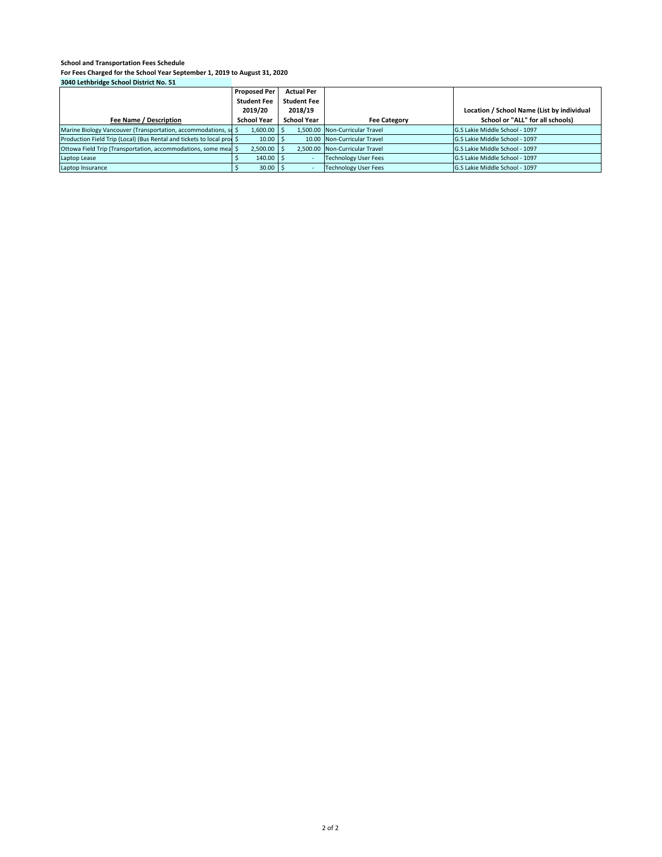| $-0.1$                                                                 |                       |                    |                                |                                            |
|------------------------------------------------------------------------|-----------------------|--------------------|--------------------------------|--------------------------------------------|
|                                                                        | <b>Proposed Per</b>   | <b>Actual Per</b>  |                                |                                            |
|                                                                        | <b>Student Fee</b>    | <b>Student Fee</b> |                                |                                            |
|                                                                        | 2019/20               | 2018/19            |                                | Location / School Name (List by individual |
| Fee Name / Description                                                 | School Year           | <b>School Year</b> | <b>Fee Category</b>            | School or "ALL" for all schools)           |
| Marine Biology Vancouver (Transportation, accommodations, so \$        | 1.600.00              |                    | 1.500.00 Non-Curricular Travel | G.S Lakie Middle School - 1097             |
| Production Field Trip (Local) (Bus Rental and tickets to local prod \$ | 10.00                 |                    | 10.00 Non-Curricular Travel    | G.S Lakie Middle School - 1097             |
| Ottowa Field Trip (Transportation, accommodations, some mea \$         | 2,500.00              |                    | 2.500.00 Non-Curricular Travel | G.S Lakie Middle School - 1097             |
| Laptop Lease                                                           | 140.00                |                    | <b>Technology User Fees</b>    | G.S Lakie Middle School - 1097             |
| Laptop Insurance                                                       | $30.00$ $\frac{3}{5}$ |                    | <b>Technology User Fees</b>    | G.S Lakie Middle School - 1097             |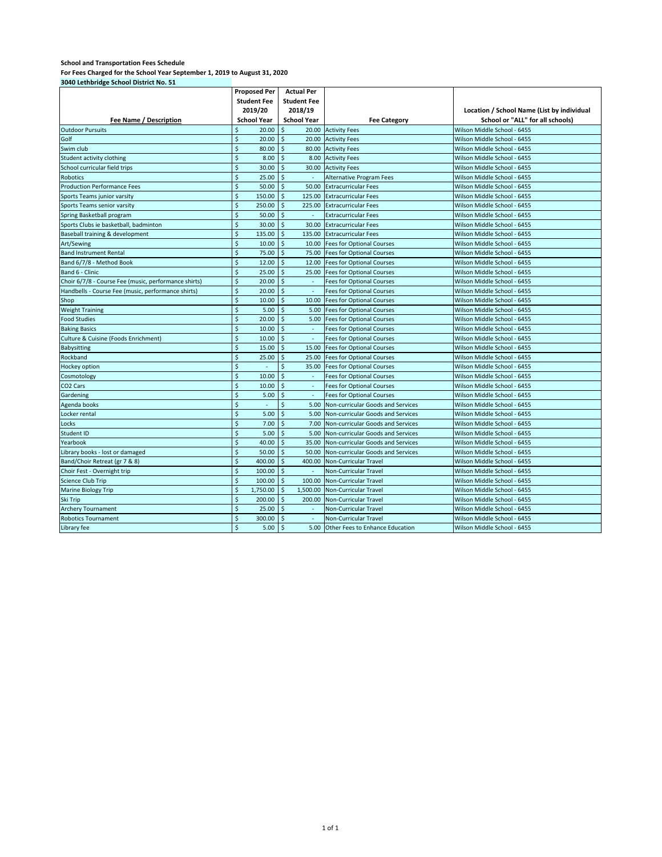| 3040 Lethbridge School District No. 51               |                              |                                |                                      |                                            |
|------------------------------------------------------|------------------------------|--------------------------------|--------------------------------------|--------------------------------------------|
|                                                      | <b>Proposed Per</b>          | <b>Actual Per</b>              |                                      |                                            |
|                                                      | <b>Student Fee</b>           | <b>Student Fee</b>             |                                      |                                            |
|                                                      | 2019/20                      | 2018/19                        |                                      | Location / School Name (List by individual |
| Fee Name / Description                               | <b>School Year</b>           | <b>School Year</b>             | <b>Fee Category</b>                  | School or "ALL" for all schools)           |
| <b>Outdoor Pursuits</b>                              | 20.00<br>\$                  | \$<br>20.00                    | <b>Activity Fees</b>                 | Wilson Middle School - 6455                |
| Golf                                                 | $\mathsf{\hat{S}}$<br>20.00  | $\mathsf{\hat{S}}$<br>20.00    | <b>Activity Fees</b>                 | Wilson Middle School - 6455                |
| Swim club                                            | $\mathsf{\hat{S}}$<br>80.00  | \$<br>80.00                    | <b>Activity Fees</b>                 | Wilson Middle School - 6455                |
| Student activity clothing                            | \$<br>8.00                   | \$                             | 8.00 Activity Fees                   | Wilson Middle School - 6455                |
| School curricular field trips                        | \$<br>30.00                  | \$<br>30.00                    | <b>Activity Fees</b>                 | Wilson Middle School - 6455                |
| <b>Robotics</b>                                      | \$<br>25.00                  | \$<br>$\sim$                   | Alternative Program Fees             | Wilson Middle School - 6455                |
| <b>Production Performance Fees</b>                   | $\mathsf{\hat{S}}$<br>50.00  | $\ddot{\mathsf{s}}$<br>50.00   | <b>Extracurricular Fees</b>          | Wilson Middle School - 6455                |
| Sports Teams junior varsity                          | \$<br>150.00                 | $\ddot{\mathsf{s}}$<br>125.00  | <b>Extracurricular Fees</b>          | Wilson Middle School - 6455                |
| Sports Teams senior varsity                          | $\mathsf{\hat{S}}$<br>250.00 | $\mathsf{\hat{S}}$<br>225.00   | <b>Extracurricular Fees</b>          | Wilson Middle School - 6455                |
| Spring Basketball program                            | $\dot{\mathsf{S}}$<br>50.00  | $\ddot{\mathsf{s}}$<br>×       | <b>Extracurricular Fees</b>          | Wilson Middle School - 6455                |
| Sports Clubs ie basketball, badminton                | \$<br>30.00                  | Ś<br>30.00                     | <b>Extracurricular Fees</b>          | Wilson Middle School - 6455                |
| Baseball training & development                      | \$<br>135.00                 | \$<br>135.00                   | <b>Extracurricular Fees</b>          | Wilson Middle School - 6455                |
| Art/Sewing                                           | \$<br>10.00                  | $\dot{\mathsf{S}}$<br>10.00    | <b>Fees for Optional Courses</b>     | Wilson Middle School - 6455                |
| <b>Band Instrument Rental</b>                        | \$<br>75.00                  | \$<br>75.00                    | <b>Fees for Optional Courses</b>     | Wilson Middle School - 6455                |
| Band 6/7/8 - Method Book                             | \$<br>12.00                  | $\ddot{\mathsf{s}}$<br>12.00   | <b>Fees for Optional Courses</b>     | Wilson Middle School - 6455                |
| Band 6 - Clinic                                      | $\mathsf{\hat{S}}$<br>25.00  | $\ddot{\mathsf{s}}$<br>25.00   | <b>Fees for Optional Courses</b>     | Wilson Middle School - 6455                |
| Choir 6/7/8 - Course Fee (music, performance shirts) | \$<br>20.00                  | $\dot{\mathsf{S}}$             | <b>Fees for Optional Courses</b>     | Wilson Middle School - 6455                |
| Handbells - Course Fee (music, performance shirts)   | \$<br>20.00                  | \$<br>×.                       | <b>Fees for Optional Courses</b>     | Wilson Middle School - 6455                |
| Shop                                                 | $\dot{\mathsf{S}}$<br>10.00  | \$<br>10.00                    | <b>Fees for Optional Courses</b>     | Wilson Middle School - 6455                |
| <b>Weight Training</b>                               | \$<br>5.00                   | \$<br>5.00                     | <b>Fees for Optional Courses</b>     | Wilson Middle School - 6455                |
| <b>Food Studies</b>                                  | Ś<br>20.00                   | \$<br>5.00                     | <b>Fees for Optional Courses</b>     | Wilson Middle School - 6455                |
| <b>Baking Basics</b>                                 | \$<br>10.00                  | \$<br>×.                       | <b>Fees for Optional Courses</b>     | Wilson Middle School - 6455                |
| Culture & Cuisine (Foods Enrichment)                 | \$<br>10.00                  | \$<br>$\sim$                   | <b>Fees for Optional Courses</b>     | Wilson Middle School - 6455                |
| Babysitting                                          | \$<br>15.00                  | $\mathsf{\hat{S}}$<br>15.00    | <b>Fees for Optional Courses</b>     | Wilson Middle School - 6455                |
| Rockband                                             | Ś<br>25.00                   | $\zeta$<br>25.00               | <b>Fees for Optional Courses</b>     | Wilson Middle School - 6455                |
| Hockey option                                        | \$                           | \$<br>35.00                    | <b>Fees for Optional Courses</b>     | Wilson Middle School - 6455                |
| Cosmotology                                          | \$<br>10.00                  | $\dot{\mathsf{S}}$<br>×.       | <b>Fees for Optional Courses</b>     | Wilson Middle School - 6455                |
| CO <sub>2</sub> Cars                                 | \$<br>10.00                  | \$<br>$\overline{\phantom{a}}$ | <b>Fees for Optional Courses</b>     | Wilson Middle School - 6455                |
| Gardening                                            | \$<br>5.00                   | $\dot{\mathsf{S}}$             | <b>Fees for Optional Courses</b>     | Wilson Middle School - 6455                |
| Agenda books                                         | Ś<br>÷.                      | \$<br>5.00                     | Non-curricular Goods and Services    | Wilson Middle School - 6455                |
| Locker rental                                        | \$<br>5.00                   | \$<br>5.00                     | Non-curricular Goods and Services    | Wilson Middle School - 6455                |
| Locks                                                | Ś<br>7.00                    | \$<br>7.00                     | Non-curricular Goods and Services    | Wilson Middle School - 6455                |
| Student ID                                           | \$<br>5.00                   | $\ddot{\mathsf{s}}$<br>5.00    | Non-curricular Goods and Services    | Wilson Middle School - 6455                |
| Yearbook                                             | \$<br>40.00                  | $\dot{\mathsf{S}}$<br>35.00    | Non-curricular Goods and Services    | Wilson Middle School - 6455                |
| Library books - lost or damaged                      | \$<br>50.00                  | \$<br>50.00                    | Non-curricular Goods and Services    | Wilson Middle School - 6455                |
| Band/Choir Retreat (gr 7 & 8)                        | $\mathsf{\hat{S}}$<br>400.00 | Ś<br>400.00                    | <b>Non-Curricular Travel</b>         | Wilson Middle School - 6455                |
| Choir Fest - Overnight trip                          | \$<br>100.00                 | \$                             | Non-Curricular Travel                | Wilson Middle School - 6455                |
| <b>Science Club Trip</b>                             | \$<br>100.00                 | \$<br>100.00                   | Non-Curricular Travel                | Wilson Middle School - 6455                |
| <b>Marine Biology Trip</b>                           | \$<br>1,750.00               | $\zeta$<br>1,500.00            | Non-Curricular Travel                | Wilson Middle School - 6455                |
| Ski Trip                                             | \$<br>200.00                 | $\ddot{\mathsf{s}}$<br>200.00  | Non-Curricular Travel                | Wilson Middle School - 6455                |
| <b>Archery Tournament</b>                            | $\mathsf{\hat{S}}$<br>25.00  | $\mathsf{\hat{S}}$<br>×.       | <b>Non-Curricular Travel</b>         | Wilson Middle School - 6455                |
| <b>Robotics Tournament</b>                           | \$<br>300.00                 | $\mathsf{\hat{S}}$             | Non-Curricular Travel                | Wilson Middle School - 6455                |
| Library fee                                          | Ś<br>5.00                    | \$                             | 5.00 Other Fees to Enhance Education | Wilson Middle School - 6455                |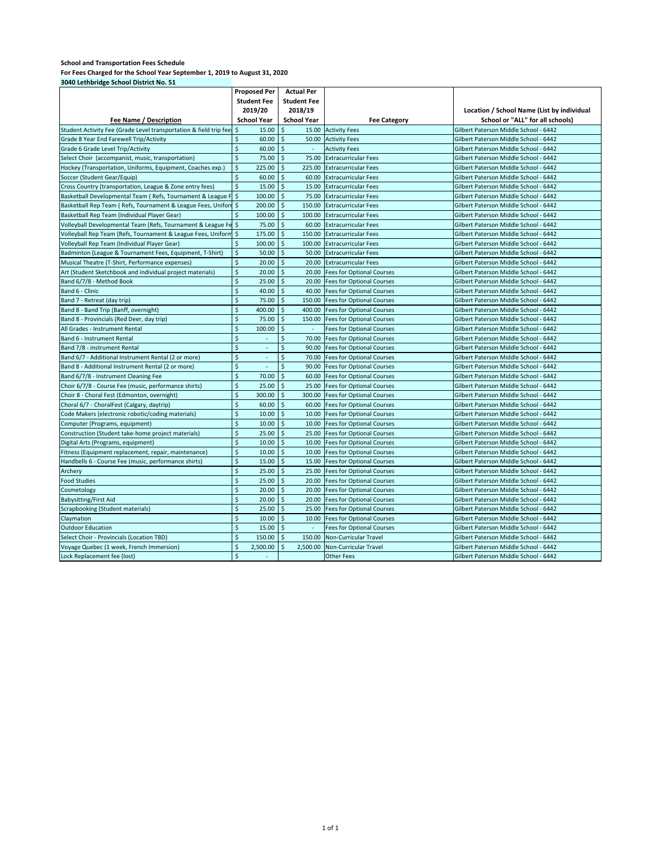| 3040 Ectribituge Senoor Bistrict No. 31                               | <b>Proposed Per</b>            | <b>Actual Per</b>             |                                  |                                            |
|-----------------------------------------------------------------------|--------------------------------|-------------------------------|----------------------------------|--------------------------------------------|
|                                                                       | <b>Student Fee</b>             | <b>Student Fee</b>            |                                  |                                            |
|                                                                       | 2019/20                        | 2018/19                       |                                  | Location / School Name (List by individual |
| Fee Name / Description                                                | <b>School Year</b>             | <b>School Year</b>            | <b>Fee Category</b>              | School or "ALL" for all schools)           |
| Student Activity Fee (Grade Level transportation & field trip fee: \$ | 15.00                          | \$                            | 15.00 Activity Fees              | Gilbert Paterson Middle School - 6442      |
| Grade 8 Year End Farewell Trip/Activity                               | $\mathsf{\hat{S}}$<br>60.00    | $\mathsf{S}$                  | 50.00 Activity Fees              | Gilbert Paterson Middle School - 6442      |
| Grade 6 Grade Level Trip/Activity                                     | \$<br>60.00                    | $\mathsf{S}$<br>$\sim$        | <b>Activity Fees</b>             | Gilbert Paterson Middle School - 6442      |
| Select Choir (accompanist, music, transportation)                     | $\mathsf{\hat{S}}$<br>75.00    | $\mathsf{\hat{S}}$<br>75.00   | <b>Extracurricular Fees</b>      | Gilbert Paterson Middle School - 6442      |
| Hockey (Transportation, Uniforms, Equipment, Coaches exp.)            | $\dot{\mathsf{S}}$<br>225.00   | <sup>\$</sup><br>225.00       | <b>Extracurricular Fees</b>      | Gilbert Paterson Middle School - 6442      |
| Soccer (Student Gear/Equip)                                           | $\zeta$<br>60.00               | $\ddot{\mathsf{s}}$<br>60.00  | <b>Extracurricular Fees</b>      | Gilbert Paterson Middle School - 6442      |
| Cross Country (transportation, League & Zone entry fees)              | \$<br>15.00                    | -Ś<br>15.00                   | <b>Extracurricular Fees</b>      | Gilbert Paterson Middle School - 6442      |
| Basketball Developmental Team (Refs, Tournament & League F \$         | 100.00                         | $\mathsf{S}$<br>75.00         | <b>Extracurricular Fees</b>      | Gilbert Paterson Middle School - 6442      |
| Basketball Rep Team ( Refs, Tournament & League Fees, Uniform \$      | 200.00                         | $\ddot{\varsigma}$<br>150.00  | <b>Extracurricular Fees</b>      | Gilbert Paterson Middle School - 6442      |
| Basketball Rep Team (Individual Player Gear)                          | $\zeta$<br>100.00              | $\ddot{\mathsf{s}}$<br>100.00 | <b>Extracurricular Fees</b>      | Gilbert Paterson Middle School - 6442      |
| Volleyball Developmental Team (Refs, Tournament & League Fe \$        | 75.00                          | \$<br>60.00                   | <b>Extracurricular Fees</b>      | Gilbert Paterson Middle School - 6442      |
| Volleyball Rep Team (Refs, Tournament & League Fees, Uniform \$       | 175.00                         | \$<br>150.00                  | <b>Extracurricular Fees</b>      | Gilbert Paterson Middle School - 6442      |
| Volleyball Rep Team (Individual Player Gear)                          | \$<br>100.00                   | \$<br>100.00                  | <b>Extracurricular Fees</b>      | Gilbert Paterson Middle School - 6442      |
| Badminton (League & Tournament Fees, Equipment, T-Shirt)              | $\ddot{\varsigma}$<br>50.00    | \$<br>50.00                   | <b>Extracurricular Fees</b>      | Gilbert Paterson Middle School - 6442      |
| Musical Theatre (T-Shirt, Performance expenses)                       | $\dot{\mathsf{S}}$<br>20.00    | Ś<br>20.00                    | <b>Extracurricular Fees</b>      | Gilbert Paterson Middle School - 6442      |
| Art (Student Sketchbook and individual project materials)             | $\dot{\mathsf{S}}$<br>20.00    | $\mathsf{\hat{S}}$<br>20.00   | <b>Fees for Optional Courses</b> | Gilbert Paterson Middle School - 6442      |
| Band 6/7/8 - Method Book                                              | \$<br>25.00                    | \$<br>20.00                   | <b>Fees for Optional Courses</b> | Gilbert Paterson Middle School - 6442      |
| Band 6 - Clinic                                                       | $\dot{\mathsf{S}}$<br>40.00    | $\mathsf{\hat{S}}$<br>40.00   | <b>Fees for Optional Courses</b> | Gilbert Paterson Middle School - 6442      |
| Band 7 - Retreat (day trip)                                           | \$<br>75.00                    | \$<br>150.00                  | <b>Fees for Optional Courses</b> | Gilbert Paterson Middle School - 6442      |
| Band 8 - Band Trip (Banff, overnight)                                 | $\mathsf{\hat{S}}$<br>400.00   | \$<br>400.00                  | <b>Fees for Optional Courses</b> | Gilbert Paterson Middle School - 6442      |
| Band 8 - Provincials (Red Deer, day trip)                             | \$<br>75.00                    | Ś<br>150.00                   | <b>Fees for Optional Courses</b> | Gilbert Paterson Middle School - 6442      |
| All Grades - Instrument Rental                                        | $\dot{\mathsf{S}}$<br>100.00   | \$<br>$\sim$                  | <b>Fees for Optional Courses</b> | Gilbert Paterson Middle School - 6442      |
| Band 6 - Instrument Rental                                            | $\mathsf{\hat{S}}$<br>$\sim$   | \$                            | 70.00 Fees for Optional Courses  | Gilbert Paterson Middle School - 6442      |
| Band 7/8 - instrument Rental                                          | $\zeta$<br>$\sim$              | \$                            | 90.00 Fees for Optional Courses  | Gilbert Paterson Middle School - 6442      |
| Band 6/7 - Additional Instrument Rental (2 or more)                   | $\zeta$<br>×.                  | \$                            | 70.00 Fees for Optional Courses  | Gilbert Paterson Middle School - 6442      |
| Band 8 - Additional Instrument Rental (2 or more)                     | $\dot{\mathsf{S}}$<br>$\omega$ | \$                            | 90.00 Fees for Optional Courses  | Gilbert Paterson Middle School - 6442      |
| Band 6/7/8 - Instrument Cleaning Fee                                  | $\dot{\mathsf{S}}$<br>70.00    | \$<br>60.00                   | <b>Fees for Optional Courses</b> | Gilbert Paterson Middle School - 6442      |
| Choir 6/7/8 - Course Fee (music, performance shirts)                  | $\zeta$<br>25.00               | Ŝ.<br>25.00                   | <b>Fees for Optional Courses</b> | Gilbert Paterson Middle School - 6442      |
| Choir 8 - Choral Fest (Edmonton, overnight)                           | $\zeta$<br>300.00              | Ś<br>300.00                   | <b>Fees for Optional Courses</b> | Gilbert Paterson Middle School - 6442      |
| Choral 6/7 - ChoralFest (Calgary, daytrip)                            | $\dot{\mathsf{S}}$<br>60.00    | $\ddot{\mathsf{s}}$<br>60.00  | <b>Fees for Optional Courses</b> | Gilbert Paterson Middle School - 6442      |
| Code Makers (electronic robotic/coding materials)                     | $\mathsf{\hat{S}}$<br>10.00    | <sup>\$</sup>                 | 10.00 Fees for Optional Courses  | Gilbert Paterson Middle School - 6442      |
| Computer (Programs, equipment)                                        | $\dot{\mathsf{S}}$<br>10.00    | $\mathsf{\hat{S}}$<br>10.00   | <b>Fees for Optional Courses</b> | Gilbert Paterson Middle School - 6442      |
| Construction (Student take-home project materials)                    | $\dot{\mathsf{S}}$<br>25.00    | $\ddot{\mathsf{s}}$<br>25.00  | <b>Fees for Optional Courses</b> | Gilbert Paterson Middle School - 6442      |
| Digital Arts (Programs, equipment)                                    | $\zeta$<br>10.00               | $\ddot{\mathsf{s}}$           | 10.00 Fees for Optional Courses  | Gilbert Paterson Middle School - 6442      |
| Fitness (Equipment replacement, repair, maintenance)                  | $\zeta$<br>10.00               | $\ddot{\mathsf{s}}$<br>10.00  | <b>Fees for Optional Courses</b> | Gilbert Paterson Middle School - 6442      |
| Handbells 6 - Course Fee (music, performance shirts)                  | \$<br>15.00                    | $\mathsf{\hat{S}}$<br>15.00   | <b>Fees for Optional Courses</b> | Gilbert Paterson Middle School - 6442      |
| Archery                                                               | $\zeta$<br>25.00               | $\ddot{\mathsf{s}}$<br>25.00  | <b>Fees for Optional Courses</b> | Gilbert Paterson Middle School - 6442      |
| <b>Food Studies</b>                                                   | $\zeta$<br>25.00               | $\mathsf{S}$<br>20.00         | <b>Fees for Optional Courses</b> | Gilbert Paterson Middle School - 6442      |
| Cosmetology                                                           | $\dot{\mathsf{S}}$<br>20.00    | $\ddot{\mathsf{s}}$<br>20.00  | <b>Fees for Optional Courses</b> | Gilbert Paterson Middle School - 6442      |
| <b>Babysitting/First Aid</b>                                          | \$<br>20.00                    | \$<br>20.00                   | <b>Fees for Optional Courses</b> | Gilbert Paterson Middle School - 6442      |
| <b>Scrapbooking (Student materials)</b>                               | \$<br>25.00                    | \$<br>25.00                   | <b>Fees for Optional Courses</b> | Gilbert Paterson Middle School - 6442      |
| Claymation                                                            | \$<br>10.00                    | <sup>\$</sup><br>10.00        | <b>Fees for Optional Courses</b> | Gilbert Paterson Middle School - 6442      |
| <b>Outdoor Education</b>                                              | \$<br>15.00                    | $\ddot{\mathsf{s}}$<br>$\sim$ | <b>Fees for Optional Courses</b> | Gilbert Paterson Middle School - 6442      |
| Select Choir - Provincials (Location TBD)                             | \$<br>150.00                   | Š.<br>150.00                  | <b>Non-Curricular Travel</b>     | Gilbert Paterson Middle School - 6442      |
| Voyage Quebec (1 week, French Immersion)                              | $\zeta$<br>2.500.00            | Ś<br>2.500.00                 | <b>Non-Curricular Travel</b>     | Gilbert Paterson Middle School - 6442      |
| Lock Replacement fee (lost)                                           | \$<br>$\sim$                   |                               | Other Fees                       | Gilbert Paterson Middle School - 6442      |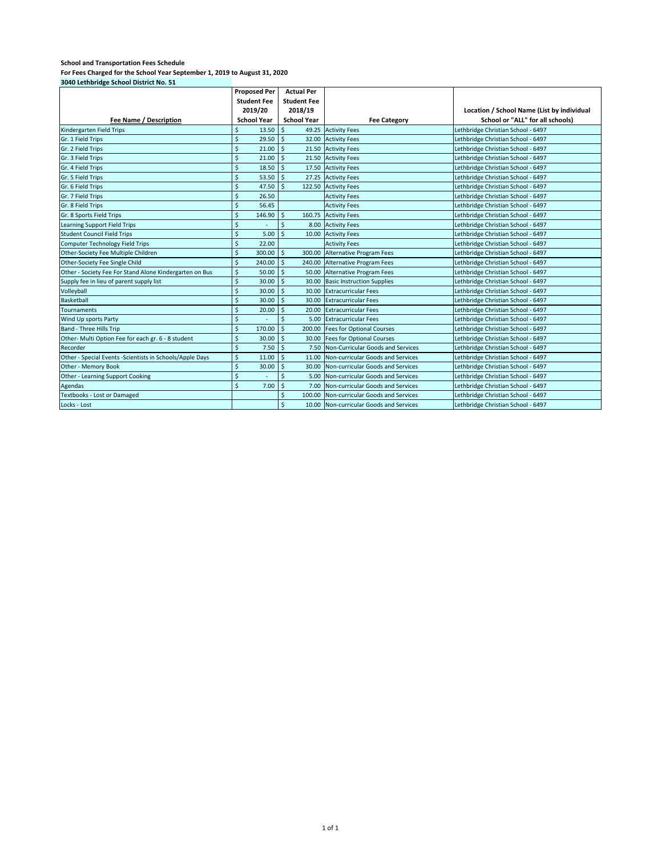| 3040 Lethbridge School District No. 51                   |                              |                               |                                         |                                            |
|----------------------------------------------------------|------------------------------|-------------------------------|-----------------------------------------|--------------------------------------------|
|                                                          | <b>Proposed Per</b>          | <b>Actual Per</b>             |                                         |                                            |
|                                                          | <b>Student Fee</b>           | <b>Student Fee</b>            |                                         |                                            |
|                                                          | 2019/20                      | 2018/19                       |                                         | Location / School Name (List by individual |
| Fee Name / Description                                   | <b>School Year</b>           | <b>School Year</b>            | <b>Fee Category</b>                     | School or "ALL" for all schools)           |
| Kindergarten Field Trips                                 | \$<br>13.50                  | \$<br>49.25                   | <b>Activity Fees</b>                    | Lethbridge Christian School - 6497         |
| Gr. 1 Field Trips                                        | Ś<br>29.50                   | <sup>\$</sup><br>32.00        | <b>Activity Fees</b>                    | Lethbridge Christian School - 6497         |
| Gr. 2 Field Trips                                        | $\dot{\mathsf{S}}$<br>21.00  | \$<br>21.50                   | <b>Activity Fees</b>                    | Lethbridge Christian School - 6497         |
| Gr. 3 Field Trips                                        | \$<br>21.00                  | \$                            | 21.50 Activity Fees                     | Lethbridge Christian School - 6497         |
| Gr. 4 Field Trips                                        | $\zeta$<br>18.50             | Ś                             | 17.50 Activity Fees                     | Lethbridge Christian School - 6497         |
| Gr. 5 Field Trips                                        | $\zeta$<br>53.50             | $\zeta$                       | 27.25 Activity Fees                     | Lethbridge Christian School - 6497         |
| Gr. 6 Field Trips                                        | $\ddot{\varsigma}$<br>47.50  | Ś<br>122.50                   | <b>Activity Fees</b>                    | Lethbridge Christian School - 6497         |
| Gr. 7 Field Trips                                        | $\zeta$<br>26.50             |                               | <b>Activity Fees</b>                    | Lethbridge Christian School - 6497         |
| Gr. 8 Field Trips                                        | \$<br>56.45                  |                               | <b>Activity Fees</b>                    | Lethbridge Christian School - 6497         |
| Gr. 8 Sports Field Trips                                 | $\dot{\mathsf{S}}$<br>146.90 | <sup>\$</sup>                 | 160.75 Activity Fees                    | Lethbridge Christian School - 6497         |
| Learning Support Field Trips                             | $\zeta$                      | $\zeta$<br>8.00               | <b>Activity Fees</b>                    | Lethbridge Christian School - 6497         |
| <b>Student Council Field Trips</b>                       | $\dot{\mathsf{S}}$<br>5.00   | Ś<br>10.00                    | <b>Activity Fees</b>                    | Lethbridge Christian School - 6497         |
| <b>Computer Technology Field Trips</b>                   | $\zeta$<br>22.00             |                               | <b>Activity Fees</b>                    | Lethbridge Christian School - 6497         |
| Other-Society Fee Multiple Children                      | $\zeta$<br>300.00            | $\ddot{\mathsf{s}}$<br>300.00 | <b>Alternative Program Fees</b>         | Lethbridge Christian School - 6497         |
| Other-Society Fee Single Child                           | $\zeta$<br>240.00            | $\ddot{\mathsf{s}}$<br>240.00 | <b>Alternative Program Fees</b>         | Lethbridge Christian School - 6497         |
| Other - Society Fee For Stand Alone Kindergarten on Bus  | $\zeta$<br>50.00             | <sup>\$</sup><br>50.00        | <b>Alternative Program Fees</b>         | Lethbridge Christian School - 6497         |
| Supply fee in lieu of parent supply list                 | $\zeta$<br>30.00             | $\ddot{\mathsf{s}}$<br>30.00  | <b>Basic Instruction Supplies</b>       | Lethbridge Christian School - 6497         |
| Volleyball                                               | $\mathsf{\hat{S}}$<br>30.00  | Ŝ.<br>30.00                   | <b>Extracurricular Fees</b>             | Lethbridge Christian School - 6497         |
| Basketball                                               | $\zeta$<br>30.00             | Ŝ.<br>30.00                   | <b>Extracurricular Fees</b>             | Lethbridge Christian School - 6497         |
| <b>Tournaments</b>                                       | $\zeta$<br>20.00             | \$                            | 20.00 Extracurricular Fees              | Lethbridge Christian School - 6497         |
| Wind Up sports Party                                     | $\zeta$                      | $\zeta$<br>5.00               | <b>Extracurricular Fees</b>             | Lethbridge Christian School - 6497         |
| Band - Three Hills Trip                                  | $\zeta$<br>170.00            | $\zeta$<br>200.00             | <b>Fees for Optional Courses</b>        | Lethbridge Christian School - 6497         |
| Other- Multi Option Fee for each gr. 6 - 8 student       | $\mathsf{\hat{S}}$<br>30.00  | Ś<br>30.00                    | <b>Fees for Optional Courses</b>        | Lethbridge Christian School - 6497         |
| Recorder                                                 | $\zeta$<br>7.50              | <sup>\$</sup><br>7.50         | Non-Curricular Goods and Services       | Lethbridge Christian School - 6497         |
| Other - Special Events -Scientists in Schools/Apple Days | $\zeta$<br>11.00             | Ś<br>11.00                    | Non-curricular Goods and Services       | Lethbridge Christian School - 6497         |
| Other - Memory Book                                      | $\zeta$<br>30.00             | \$<br>30.00                   | Non-curricular Goods and Services       | Lethbridge Christian School - 6497         |
| Other - Learning Support Cooking                         | $\zeta$                      | Ś<br>5.00                     | Non-curricular Goods and Services       | Lethbridge Christian School - 6497         |
| Agendas                                                  | $\zeta$<br>7.00              | $\ddot{\varsigma}$<br>7.00    | Non-curricular Goods and Services       | Lethbridge Christian School - 6497         |
| <b>Textbooks - Lost or Damaged</b>                       |                              | \$<br>100.00                  | Non-curricular Goods and Services       | Lethbridge Christian School - 6497         |
| Locks - Lost                                             |                              | $\dot{\mathsf{S}}$            | 10.00 Non-curricular Goods and Services | Lethbridge Christian School - 6497         |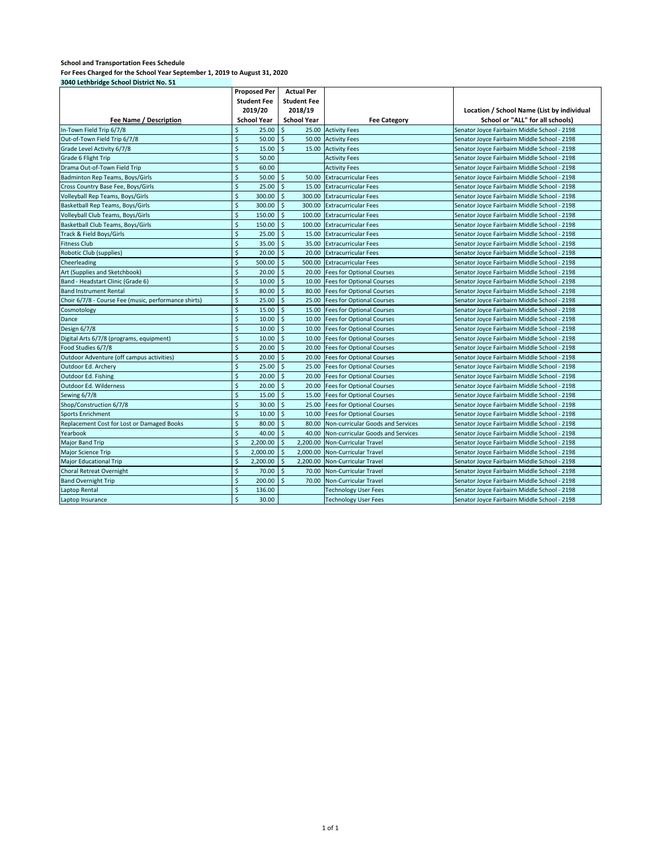|                                                      | <b>Proposed Per</b>          | <b>Actual Per</b>            |                                   |                                              |
|------------------------------------------------------|------------------------------|------------------------------|-----------------------------------|----------------------------------------------|
|                                                      | <b>Student Fee</b>           | <b>Student Fee</b>           |                                   |                                              |
|                                                      | 2019/20                      | 2018/19                      |                                   | Location / School Name (List by individual   |
| Fee Name / Description                               | <b>School Year</b>           | <b>School Year</b>           | <b>Fee Category</b>               | School or "ALL" for all schools)             |
| In-Town Field Trip 6/7/8                             | \$<br>25.00                  | \$                           | 25.00 Activity Fees               | Senator Joyce Fairbairn Middle School - 2198 |
| Out-of-Town Field Trip 6/7/8                         | \$<br>50.00                  | \$<br>50.00                  | <b>Activity Fees</b>              | Senator Joyce Fairbairn Middle School - 2198 |
| Grade Level Activity 6/7/8                           | \$<br>15.00                  | Ś<br>15.00                   | <b>Activity Fees</b>              | Senator Joyce Fairbairn Middle School - 2198 |
| Grade 6 Flight Trip                                  | \$<br>50.00                  |                              | <b>Activity Fees</b>              | Senator Joyce Fairbairn Middle School - 2198 |
| Drama Out-of-Town Field Trip                         | \$<br>60.00                  |                              | <b>Activity Fees</b>              | Senator Joyce Fairbairn Middle School - 2198 |
| Badminton Rep Teams, Boys/Girls                      | \$<br>50.00                  | \$<br>50.00                  | <b>Extracurricular Fees</b>       | Senator Joyce Fairbairn Middle School - 2198 |
| Cross Country Base Fee, Boys/Girls                   | \$<br>25.00                  | $\zeta$<br>15.00             | <b>Extracurricular Fees</b>       | Senator Joyce Fairbairn Middle School - 2198 |
| Volleyball Rep Teams, Boys/Girls                     | $\mathsf{\hat{S}}$<br>300.00 | $\mathsf{\hat{S}}$<br>300.00 | <b>Extracurricular Fees</b>       | Senator Joyce Fairbairn Middle School - 2198 |
| Basketball Rep Teams, Boys/Girls                     | \$<br>300.00                 | \$<br>300.00                 | <b>Extracurricular Fees</b>       | Senator Joyce Fairbairn Middle School - 2198 |
| Volleyball Club Teams, Boys/Girls                    | \$<br>150.00                 | $\zeta$<br>100.00            | <b>Extracurricular Fees</b>       | Senator Joyce Fairbairn Middle School - 2198 |
| Basketball Club Teams, Boys/Girls                    | \$<br>150.00                 | $\zeta$<br>100.00            | <b>Extracurricular Fees</b>       | Senator Joyce Fairbairn Middle School - 2198 |
| Track & Field Boys/Girls                             | \$<br>25.00                  | $\zeta$<br>15.00             | <b>Extracurricular Fees</b>       | Senator Joyce Fairbairn Middle School - 2198 |
| <b>Fitness Club</b>                                  | \$<br>35.00                  | $\mathsf{\hat{S}}$<br>35.00  | <b>Extracurricular Fees</b>       | Senator Joyce Fairbairn Middle School - 2198 |
| Robotic Club (supplies)                              | \$<br>20.00                  | \$<br>20.00                  | <b>Extracurricular Fees</b>       | Senator Joyce Fairbairn Middle School - 2198 |
| Cheerleading                                         | \$<br>500.00                 | \$<br>500.00                 | <b>Extracurricular Fees</b>       | Senator Joyce Fairbairn Middle School - 2198 |
| Art (Supplies and Sketchbook)                        | \$<br>20.00                  | $\zeta$<br>20.00             | <b>Fees for Optional Courses</b>  | Senator Joyce Fairbairn Middle School - 2198 |
| Band - Headstart Clinic (Grade 6)                    | \$<br>10.00                  | Ś<br>10.00                   | <b>Fees for Optional Courses</b>  | Senator Joyce Fairbairn Middle School - 2198 |
| <b>Band Instrument Rental</b>                        | $\mathsf{\hat{S}}$<br>80.00  | Ś<br>80.00                   | <b>Fees for Optional Courses</b>  | Senator Joyce Fairbairn Middle School - 2198 |
| Choir 6/7/8 - Course Fee (music, performance shirts) | \$<br>25.00                  | $\zeta$<br>25.00             | <b>Fees for Optional Courses</b>  | Senator Joyce Fairbairn Middle School - 2198 |
| Cosmotology                                          | \$<br>15.00                  | $\dot{\mathsf{S}}$<br>15.00  | <b>Fees for Optional Courses</b>  | Senator Joyce Fairbairn Middle School - 2198 |
| Dance                                                | \$<br>10.00                  | \$<br>10.00                  | <b>Fees for Optional Courses</b>  | Senator Joyce Fairbairn Middle School - 2198 |
| Design 6/7/8                                         | \$<br>10.00                  | $\zeta$<br>10.00             | <b>Fees for Optional Courses</b>  | Senator Joyce Fairbairn Middle School - 2198 |
| Digital Arts 6/7/8 (programs, equipment)             | \$<br>10.00                  | Ś<br>10.00                   | <b>Fees for Optional Courses</b>  | Senator Joyce Fairbairn Middle School - 2198 |
| Food Studies 6/7/8                                   | \$<br>20.00                  | $\zeta$<br>20.00             | <b>Fees for Optional Courses</b>  | Senator Joyce Fairbairn Middle School - 2198 |
| Outdoor Adventure (off campus activities)            | \$<br>20.00                  | Ś.<br>20.00                  | <b>Fees for Optional Courses</b>  | Senator Joyce Fairbairn Middle School - 2198 |
| Outdoor Ed. Archery                                  | \$<br>25.00                  | \$<br>25.00                  | <b>Fees for Optional Courses</b>  | Senator Joyce Fairbairn Middle School - 2198 |
| Outdoor Ed. Fishing                                  | $\dot{\mathsf{S}}$<br>20.00  | $\dot{\mathsf{S}}$<br>20.00  | <b>Fees for Optional Courses</b>  | Senator Joyce Fairbairn Middle School - 2198 |
| Outdoor Ed. Wilderness                               | \$<br>20.00                  | \$<br>20.00                  | <b>Fees for Optional Courses</b>  | Senator Joyce Fairbairn Middle School - 2198 |
| Sewing 6/7/8                                         | \$<br>15.00                  | $\mathsf{\hat{S}}$<br>15.00  | <b>Fees for Optional Courses</b>  | Senator Joyce Fairbairn Middle School - 2198 |
| Shop/Construction 6/7/8                              | $\mathsf{\hat{S}}$<br>30.00  | Ś<br>25.00                   | <b>Fees for Optional Courses</b>  | Senator Joyce Fairbairn Middle School - 2198 |
| <b>Sports Enrichment</b>                             | \$<br>10.00                  | \$<br>10.00                  | <b>Fees for Optional Courses</b>  | Senator Joyce Fairbairn Middle School - 2198 |
| Replacement Cost for Lost or Damaged Books           | \$<br>80.00                  | $\zeta$<br>80.00             | Non-curricular Goods and Services | Senator Joyce Fairbairn Middle School - 2198 |
| Yearbook                                             | $\mathsf{\hat{S}}$<br>40.00  | Ś<br>40.00                   | Non-curricular Goods and Services | Senator Joyce Fairbairn Middle School - 2198 |
| Major Band Trip                                      | \$<br>2,200.00               | \$<br>2,200.00               | Non-Curricular Travel             | Senator Joyce Fairbairn Middle School - 2198 |
| <b>Major Science Trip</b>                            | \$<br>2,000.00               | $\zeta$<br>2,000.00          | <b>Non-Curricular Travel</b>      | Senator Joyce Fairbairn Middle School - 2198 |
| <b>Major Educational Trip</b>                        | \$<br>2,200.00               | \$<br>2,200.00               | <b>Non-Curricular Travel</b>      | Senator Joyce Fairbairn Middle School - 2198 |
| <b>Choral Retreat Overnight</b>                      | $\dot{\mathsf{S}}$<br>70.00  | $\mathsf{\hat{S}}$<br>70.00  | <b>Non-Curricular Travel</b>      | Senator Joyce Fairbairn Middle School - 2198 |
| <b>Band Overnight Trip</b>                           | \$<br>200.00                 | Ś<br>70.00                   | <b>Non-Curricular Travel</b>      | Senator Joyce Fairbairn Middle School - 2198 |
| Laptop Rental                                        | \$<br>136.00                 |                              | <b>Technology User Fees</b>       | Senator Joyce Fairbairn Middle School - 2198 |
| Laptop Insurance                                     | $\mathsf{\hat{S}}$<br>30.00  |                              | <b>Technology User Fees</b>       | Senator Joyce Fairbairn Middle School - 2198 |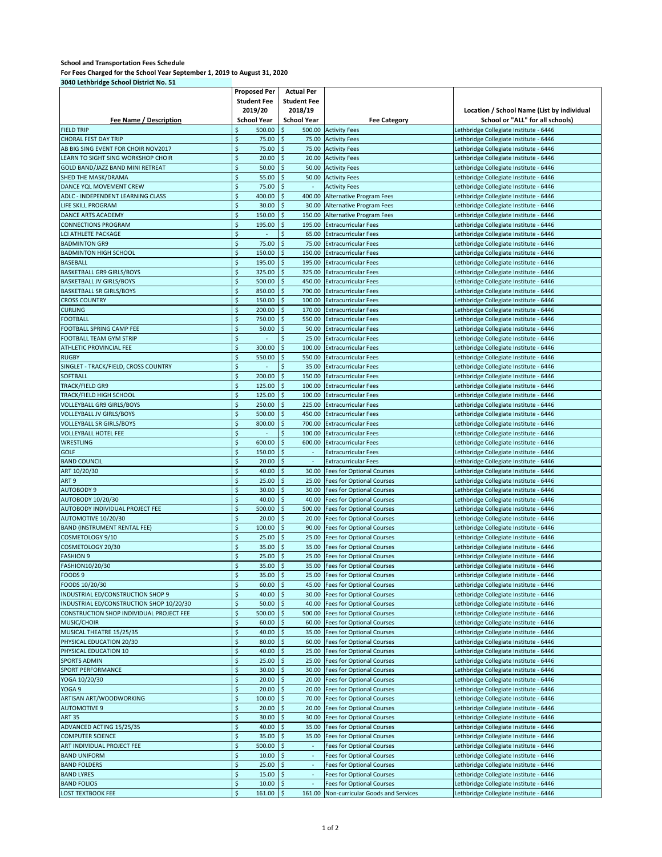#### **School and Transportation Fees Schedule**

**For Fees Charged for the School Year September 1, 2019 to August 31, 2020 3040 Lethbridge School District No. 51**

|                                          | <b>Proposed Per</b>          | <b>Actual Per</b>             |                                                                    |                                            |
|------------------------------------------|------------------------------|-------------------------------|--------------------------------------------------------------------|--------------------------------------------|
|                                          | <b>Student Fee</b>           | <b>Student Fee</b>            |                                                                    |                                            |
|                                          | 2019/20                      | 2018/19                       |                                                                    | Location / School Name (List by individual |
| Fee Name / Description                   | <b>School Year</b>           | <b>School Year</b>            | <b>Fee Category</b>                                                | School or "ALL" for all schools)           |
| <b>FIELD TRIP</b>                        | Ś<br>500.00                  | \$<br>500.00                  | <b>Activity Fees</b>                                               | Lethbridge Collegiate Institute - 6446     |
| <b>CHORAL FEST DAY TRIP</b>              | \$<br>75.00                  | \$<br>75.00                   | <b>Activity Fees</b>                                               | Lethbridge Collegiate Institute - 6446     |
| AB BIG SING EVENT FOR CHOIR NOV2017      | \$<br>75.00                  | $\ddot{\varsigma}$<br>75.00   | <b>Activity Fees</b>                                               | Lethbridge Collegiate Institute - 6446     |
|                                          | \$                           | \$                            |                                                                    |                                            |
| LEARN TO SIGHT SING WORKSHOP CHOIR       | 20.00                        | 20.00                         | <b>Activity Fees</b>                                               | Lethbridge Collegiate Institute - 6446     |
| GOLD BAND/JAZZ BAND MINI RETREAT         | \$<br>50.00                  | \$<br>50.00                   | <b>Activity Fees</b>                                               | Lethbridge Collegiate Institute - 6446     |
| SHED THE MASK/DRAMA                      | \$<br>55.00                  | $\mathsf{S}$<br>50.00         | <b>Activity Fees</b>                                               | Lethbridge Collegiate Institute - 6446     |
| DANCE YOL MOVEMENT CREW                  | \$<br>75.00                  | $\dot{\mathsf{S}}$            | <b>Activity Fees</b>                                               | Lethbridge Collegiate Institute - 6446     |
| ADLC - INDEPENDENT LEARNING CLASS        | \$<br>400.00                 | $\ddot{\mathsf{S}}$<br>400.00 | Alternative Program Fees                                           | Lethbridge Collegiate Institute - 6446     |
| LIFE SKILL PROGRAM                       | \$<br>30.00                  | $\ddot{\varsigma}$<br>30.00   | Alternative Program Fees                                           | Lethbridge Collegiate Institute - 6446     |
| DANCE ARTS ACADEMY                       | \$<br>150.00                 | $\ddot{\varsigma}$<br>150.00  | <b>Alternative Program Fees</b>                                    | Lethbridge Collegiate Institute - 6446     |
| <b>CONNECTIONS PROGRAM</b>               | \$<br>195.00                 | \$<br>195.00                  | <b>Extracurricular Fees</b>                                        | Lethbridge Collegiate Institute - 6446     |
| LCI ATHLETE PACKAGE                      | \$                           | \$<br>65.00                   | <b>Extracurricular Fees</b>                                        | Lethbridge Collegiate Institute - 6446     |
| <b>BADMINTON GR9</b>                     | \$<br>75.00                  | \$<br>75.00                   | <b>Extracurricular Fees</b>                                        | Lethbridge Collegiate Institute - 6446     |
| <b>BADMINTON HIGH SCHOOL</b>             | \$<br>150.00                 | $\zeta$<br>150.00             | <b>Extracurricular Fees</b>                                        | Lethbridge Collegiate Institute - 6446     |
| <b>BASEBALL</b>                          | \$<br>195.00                 | $\ddot{\varsigma}$<br>195.00  | <b>Extracurricular Fees</b>                                        | Lethbridge Collegiate Institute - 6446     |
| <b>BASKETBALL GR9 GIRLS/BOYS</b>         | $\zeta$<br>325.00            | $\zeta$<br>325.00             | <b>Extracurricular Fees</b>                                        | Lethbridge Collegiate Institute - 6446     |
| <b>BASKETBALL JV GIRLS/BOYS</b>          | \$<br>500.00                 | $\zeta$<br>450.00             | <b>Extracurricular Fees</b>                                        | Lethbridge Collegiate Institute - 6446     |
| <b>BASKETBALL SR GIRLS/BOYS</b>          | $\dot{\mathsf{S}}$<br>850.00 | $\dot{\mathsf{S}}$<br>700.00  | <b>Extracurricular Fees</b>                                        | Lethbridge Collegiate Institute - 6446     |
| <b>CROSS COUNTRY</b>                     | \$<br>150.00                 | $\mathsf{S}$<br>100.00        | <b>Extracurricular Fees</b>                                        | Lethbridge Collegiate Institute - 6446     |
| <b>CURLING</b>                           | \$<br>200.00                 | $\frac{1}{2}$<br>170.00       | <b>Extracurricular Fees</b>                                        | Lethbridge Collegiate Institute - 6446     |
| <b>FOOTBALL</b>                          | \$<br>750.00                 | $\zeta$<br>550.00             | <b>Extracurricular Fees</b>                                        | Lethbridge Collegiate Institute - 6446     |
| FOOTBALL SPRING CAMP FEE                 | \$<br>50.00                  | $\zeta$<br>50.00              | <b>Extracurricular Fees</b>                                        | Lethbridge Collegiate Institute - 6446     |
| FOOTBALL TEAM GYM STRIP                  | \$                           | \$<br>25.00                   | <b>Extracurricular Fees</b>                                        | Lethbridge Collegiate Institute - 6446     |
| ATHLETIC PROVINCIAL FEE                  | \$<br>300.00                 | \$<br>100.00                  | <b>Extracurricular Fees</b>                                        | Lethbridge Collegiate Institute - 6446     |
| <b>RUGBY</b>                             | $\dot{\mathsf{S}}$<br>550.00 | \$<br>550.00                  | <b>Extracurricular Fees</b>                                        | Lethbridge Collegiate Institute - 6446     |
| SINGLET - TRACK/FIELD, CROSS COUNTRY     | \$                           | \$<br>35.00                   | <b>Extracurricular Fees</b>                                        | Lethbridge Collegiate Institute - 6446     |
| <b>SOFTBALL</b>                          | \$<br>200.00                 | \$<br>150.00                  | <b>Extracurricular Fees</b>                                        |                                            |
|                                          | \$<br>125.00                 | 100.00                        |                                                                    | Lethbridge Collegiate Institute - 6446     |
| <b>TRACK/FIELD GR9</b>                   |                              | $\ddot{\varsigma}$            | <b>Extracurricular Fees</b>                                        | Lethbridge Collegiate Institute - 6446     |
| TRACK/FIELD HIGH SCHOOL                  | \$<br>125.00                 | \$<br>100.00                  | <b>Extracurricular Fees</b>                                        | Lethbridge Collegiate Institute - 6446     |
| VOLLEYBALL GR9 GIRLS/BOYS                | \$<br>250.00                 | $\zeta$<br>225.00             | <b>Extracurricular Fees</b>                                        | Lethbridge Collegiate Institute - 6446     |
| <b>VOLLEYBALL JV GIRLS/BOYS</b>          | \$<br>500.00                 | $\zeta$<br>450.00             | <b>Extracurricular Fees</b>                                        | Lethbridge Collegiate Institute - 6446     |
| <b>VOLLEYBALL SR GIRLS/BOYS</b>          | \$<br>800.00                 | $\zeta$<br>700.00             | <b>Extracurricular Fees</b>                                        | Lethbridge Collegiate Institute - 6446     |
| VOLLEYBALL HOTEL FEE                     | \$                           | $\frac{1}{2}$<br>100.00       | <b>Extracurricular Fees</b>                                        | Lethbridge Collegiate Institute - 6446     |
| WRESTLING                                | \$<br>600.00                 | $\ddot{\varsigma}$<br>600.00  | <b>Extracurricular Fees</b>                                        | Lethbridge Collegiate Institute - 6446     |
| <b>GOLF</b>                              | \$<br>150.00                 | $\ddot{\varsigma}$<br>$\sim$  | <b>Extracurricular Fees</b>                                        | Lethbridge Collegiate Institute - 6446     |
| <b>BAND COUNCIL</b>                      | \$<br>20.00                  | $\ddot{\varsigma}$<br>$\sim$  | <b>Extracurricular Fees</b>                                        | Lethbridge Collegiate Institute - 6446     |
| ART 10/20/30                             | \$<br>40.00                  | $\zeta$<br>30.00              | <b>Fees for Optional Courses</b>                                   | Lethbridge Collegiate Institute - 6446     |
| ART <sub>9</sub>                         | \$<br>25.00                  | $\ddot{\varsigma}$<br>25.00   | <b>Fees for Optional Courses</b>                                   | Lethbridge Collegiate Institute - 6446     |
| <b>AUTOBODY 9</b>                        | \$<br>30.00                  | \$<br>30.00                   | <b>Fees for Optional Courses</b>                                   | Lethbridge Collegiate Institute - 6446     |
| AUTOBODY 10/20/30                        | \$<br>40.00                  | $\ddot{\varsigma}$<br>40.00   | Fees for Optional Courses                                          | Lethbridge Collegiate Institute - 6446     |
| AUTOBODY INDIVIDUAL PROJECT FEE          | \$<br>500.00                 | $\zeta$<br>500.00             | <b>Fees for Optional Courses</b>                                   | Lethbridge Collegiate Institute - 6446     |
| AUTOMOTIVE 10/20/30                      | \$<br>20.00                  | \$<br>20.00                   | <b>Fees for Optional Courses</b>                                   | Lethbridge Collegiate Institute - 6446     |
| BAND (INSTRUMENT RENTAL FEE)             | \$<br>100.00                 | <sup>\$</sup><br>90.00        | <b>Fees for Optional Courses</b>                                   | Lethbridge Collegiate Institute - 6446     |
| COSMETOLOGY 9/10                         | \$<br>25.00                  | $\ddot{\mathsf{s}}$<br>25.00  | Fees for Optional Courses                                          | Lethbridge Collegiate Institute - 6446     |
| COSMETOLOGY 20/30                        | \$<br>35.00                  | $\mathsf{S}$                  | 35.00 Fees for Optional Courses                                    | Lethbridge Collegiate Institute - 6446     |
| <b>FASHION 9</b>                         | \$<br>25.00                  | $\ddot{\mathsf{s}}$           | 25.00 Fees for Optional Courses                                    | Lethbridge Collegiate Institute - 6446     |
| FASHION10/20/30                          | \$<br>35.00                  | $\ddot{\mathsf{S}}$           | 35.00 Fees for Optional Courses                                    | Lethbridge Collegiate Institute - 6446     |
| FOODS 9                                  | \$<br>35.00                  | \$                            | 25.00 Fees for Optional Courses                                    | Lethbridge Collegiate Institute - 6446     |
| FOODS 10/20/30                           | \$<br>60.00                  | $\zeta$                       | 45.00 Fees for Optional Courses                                    | Lethbridge Collegiate Institute - 6446     |
| INDUSTRIAL ED/CONSTRUCTION SHOP 9        | \$                           | $\zeta$                       |                                                                    |                                            |
| INDUSTRIAL ED/CONSTRUCTION SHOP 10/20/30 | 40.00<br>\$<br>50.00         | $\frac{1}{2}$                 | 30.00 Fees for Optional Courses<br>40.00 Fees for Optional Courses | Lethbridge Collegiate Institute - 6446     |
| CONSTRUCTION SHOP INDIVIDUAL PROJECT FEE | \$                           |                               | 500.00 Fees for Optional Courses                                   | Lethbridge Collegiate Institute - 6446     |
| MUSIC/CHOIR                              | 500.00                       | \$                            |                                                                    | Lethbridge Collegiate Institute - 6446     |
|                                          | \$<br>60.00                  | $\zeta$                       | 60.00 Fees for Optional Courses                                    | Lethbridge Collegiate Institute - 6446     |
| MUSICAL THEATRE 15/25/35                 | \$<br>40.00                  | $\ddot{\mathsf{s}}$           | 35.00 Fees for Optional Courses                                    | Lethbridge Collegiate Institute - 6446     |
| PHYSICAL EDUCATION 20/30                 | \$<br>80.00                  | $\frac{1}{2}$                 | 60.00 Fees for Optional Courses                                    | Lethbridge Collegiate Institute - 6446     |
| PHYSICAL EDUCATION 10                    | \$<br>40.00                  | $\mathsf{S}$                  | 25.00 Fees for Optional Courses                                    | Lethbridge Collegiate Institute - 6446     |
| <b>SPORTS ADMIN</b>                      | \$<br>25.00                  | $\zeta$                       | 25.00 Fees for Optional Courses                                    | Lethbridge Collegiate Institute - 6446     |
| SPORT PERFORMANCE                        | \$<br>30.00                  | $\ddot{\mathsf{S}}$           | 30.00 Fees for Optional Courses                                    | Lethbridge Collegiate Institute - 6446     |
| YOGA 10/20/30                            | \$<br>20.00                  | $\ddot{\varsigma}$            | 20.00 Fees for Optional Courses                                    | Lethbridge Collegiate Institute - 6446     |
| YOGA 9                                   | \$<br>20.00                  | $\ddot{\varsigma}$            | 20.00 Fees for Optional Courses                                    | Lethbridge Collegiate Institute - 6446     |
| ARTISAN ART/WOODWORKING                  | \$<br>100.00                 | $\zeta$                       | 70.00 Fees for Optional Courses                                    | Lethbridge Collegiate Institute - 6446     |
| <b>AUTOMOTIVE 9</b>                      | \$<br>20.00                  | $\zeta$                       | 20.00 Fees for Optional Courses                                    | Lethbridge Collegiate Institute - 6446     |
| <b>ART 35</b>                            | \$<br>30.00                  | $\ddot{\mathsf{s}}$<br>30.00  | <b>Fees for Optional Courses</b>                                   | Lethbridge Collegiate Institute - 6446     |
| ADVANCED ACTING 15/25/35                 | \$<br>40.00                  | $\frac{1}{2}$                 | 35.00 Fees for Optional Courses                                    | Lethbridge Collegiate Institute - 6446     |
| <b>COMPUTER SCIENCE</b>                  | \$<br>35.00                  | $\ddot{\varsigma}$<br>35.00   | <b>Fees for Optional Courses</b>                                   | Lethbridge Collegiate Institute - 6446     |
| ART INDIVIDUAL PROJECT FEE               | \$<br>500.00                 | $\zeta$<br>$\sim$             | <b>Fees for Optional Courses</b>                                   | Lethbridge Collegiate Institute - 6446     |
| <b>BAND UNIFORM</b>                      | \$<br>10.00                  | $\mathsf{S}$<br>$\sim$        | <b>Fees for Optional Courses</b>                                   | Lethbridge Collegiate Institute - 6446     |
| <b>BAND FOLDERS</b>                      | \$<br>25.00                  | $\mathsf{\hat{S}}$<br>$\sim$  | <b>Fees for Optional Courses</b>                                   | Lethbridge Collegiate Institute - 6446     |
| <b>BAND LYRES</b>                        | \$<br>15.00                  | $\mathsf{S}$                  | <b>Fees for Optional Courses</b>                                   | Lethbridge Collegiate Institute - 6446     |
| <b>BAND FOLIOS</b>                       | \$<br>10.00                  | $\ddot{\mathsf{S}}$<br>÷      | <b>Fees for Optional Courses</b>                                   | Lethbridge Collegiate Institute - 6446     |
|                                          |                              |                               |                                                                    |                                            |
| LOST TEXTBOOK FEE                        | \$<br>$161.00$ \$            |                               | 161.00 Non-curricular Goods and Services                           | Lethbridge Collegiate Institute - 6446     |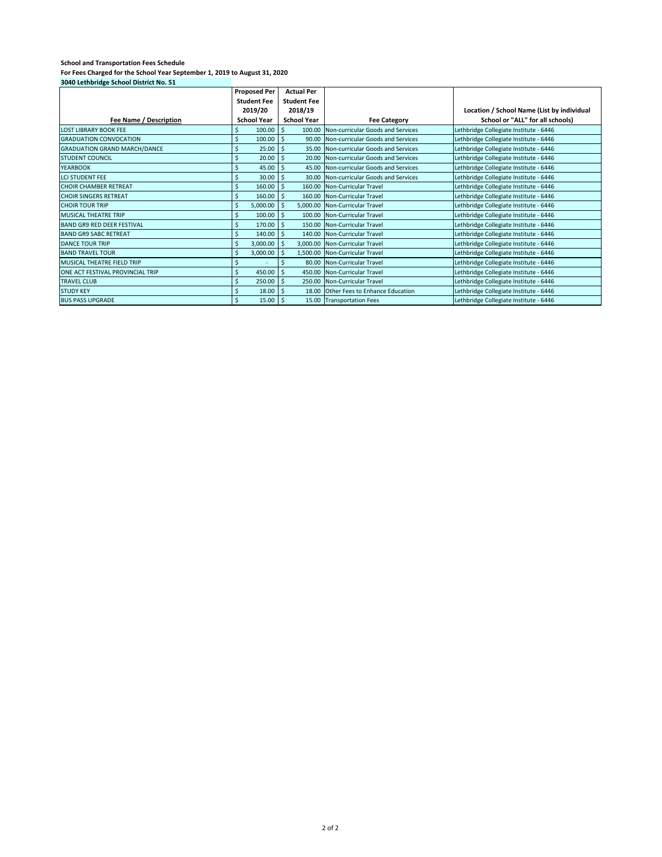| 3040 Lethbridge School District No. 51 |                              |                     |                                         |                                            |
|----------------------------------------|------------------------------|---------------------|-----------------------------------------|--------------------------------------------|
|                                        | <b>Proposed Per</b>          | <b>Actual Per</b>   |                                         |                                            |
|                                        | <b>Student Fee</b>           | <b>Student Fee</b>  |                                         |                                            |
|                                        | 2019/20                      | 2018/19             |                                         | Location / School Name (List by individual |
| Fee Name / Description                 | <b>School Year</b>           | <b>School Year</b>  | <b>Fee Category</b>                     | School or "ALL" for all schools)           |
| <b>LOST LIBRARY BOOK FEE</b>           | 100.00<br>Ś                  | -\$<br>100.00       | Non-curricular Goods and Services       | Lethbridge Collegiate Institute - 6446     |
| <b>GRADUATION CONVOCATION</b>          | Ś<br>100.00                  | $\ddot{\mathsf{s}}$ | 90.00 Non-curricular Goods and Services | Lethbridge Collegiate Institute - 6446     |
| <b>GRADUATION GRAND MARCH/DANCE</b>    | $\mathsf{S}$<br>25.00        | -\$                 | 35.00 Non-curricular Goods and Services | Lethbridge Collegiate Institute - 6446     |
| <b>STUDENT COUNCIL</b>                 | Ś<br>20.00                   | -Ś                  | 20.00 Non-curricular Goods and Services | Lethbridge Collegiate Institute - 6446     |
| <b>YEARBOOK</b>                        | \$<br>45.00                  | -Ś                  | 45.00 Non-curricular Goods and Services | Lethbridge Collegiate Institute - 6446     |
| <b>LCI STUDENT FEE</b>                 | $\zeta$<br>30.00             | \$                  | 30.00 Non-curricular Goods and Services | Lethbridge Collegiate Institute - 6446     |
| <b>CHOIR CHAMBER RETREAT</b>           | Ś<br>160.00                  | -\$                 | 160.00 Non-Curricular Travel            | Lethbridge Collegiate Institute - 6446     |
| <b>CHOIR SINGERS RETREAT</b>           | \$<br>160.00                 | -\$                 | 160.00 Non-Curricular Travel            | Lethbridge Collegiate Institute - 6446     |
| <b>CHOIR TOUR TRIP</b>                 | $\mathsf{S}$<br>5,000.00     | -\$                 | 5,000.00 Non-Curricular Travel          | Lethbridge Collegiate Institute - 6446     |
| <b>MUSICAL THEATRE TRIP</b>            | \$<br>100.00                 | -\$                 | 100.00 Non-Curricular Travel            | Lethbridge Collegiate Institute - 6446     |
| <b>BAND GR9 RED DEER FESTIVAL</b>      | Ś<br>170.00                  | -Ś                  | 150.00 Non-Curricular Travel            | Lethbridge Collegiate Institute - 6446     |
| <b>BAND GR9 SABC RETREAT</b>           | \$<br>140.00                 | -Ś                  | 140.00 Non-Curricular Travel            | Lethbridge Collegiate Institute - 6446     |
| <b>DANCE TOUR TRIP</b>                 | $\mathsf{S}$<br>3,000.00     | -\$<br>3,000.00     | Non-Curricular Travel                   | Lethbridge Collegiate Institute - 6446     |
| <b>BAND TRAVEL TOUR</b>                | Ś<br>3,000.00                | -Ś                  | 1,500.00 Non-Curricular Travel          | Lethbridge Collegiate Institute - 6446     |
| MUSICAL THEATRE FIELD TRIP             | Ś                            | Ś                   | 80.00 Non-Curricular Travel             | Lethbridge Collegiate Institute - 6446     |
| ONE ACT FESTIVAL PROVINCIAL TRIP       | $\mathsf{S}$<br>450.00       | $\zeta$             | 450.00 Non-Curricular Travel            | Lethbridge Collegiate Institute - 6446     |
| <b>TRAVEL CLUB</b>                     | Ś<br>250.00                  | -\$                 | 250.00 Non-Curricular Travel            | Lethbridge Collegiate Institute - 6446     |
| <b>STUDY KEY</b>                       | $\ddot{\mathsf{S}}$<br>18.00 | -Ś                  | 18.00 Other Fees to Enhance Education   | Lethbridge Collegiate Institute - 6446     |
| <b>BUS PASS UPGRADE</b>                | Ś<br>15.00                   | -\$                 | 15.00 Transportation Fees               | Lethbridge Collegiate Institute - 6446     |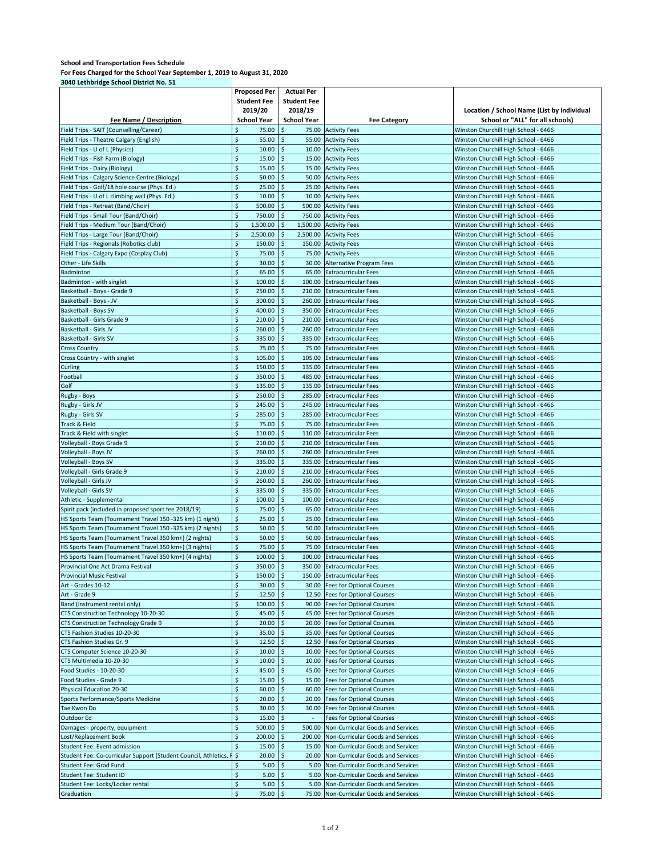| 3040 Lethbridge School District No. 51                          |                              |                    |                                          |                                                                              |
|-----------------------------------------------------------------|------------------------------|--------------------|------------------------------------------|------------------------------------------------------------------------------|
|                                                                 | <b>Proposed Per</b>          | <b>Actual Per</b>  |                                          |                                                                              |
|                                                                 | <b>Student Fee</b>           | <b>Student Fee</b> |                                          |                                                                              |
|                                                                 | 2019/20                      | 2018/19            |                                          | Location / School Name (List by individual                                   |
| Fee Name / Description                                          | <b>School Year</b>           | <b>School Year</b> | <b>Fee Category</b>                      | School or "ALL" for all schools)                                             |
| Field Trips - SAIT (Counselling/Career)                         | \$<br>75.00                  | \$                 | 75.00 Activity Fees                      | Winston Churchill High School - 6466                                         |
|                                                                 |                              |                    |                                          |                                                                              |
| Field Trips - Theatre Calgary (English)                         | \$<br>55.00                  | \$                 | 55.00 Activity Fees                      | Winston Churchill High School - 6466                                         |
| Field Trips - U of L (Physics)                                  | \$<br>10.00                  | \$                 | 10.00 Activity Fees                      | Winston Churchill High School - 6466                                         |
| Field Trips - Fish Farm (Biology)                               | \$<br>15.00                  | \$                 | 15.00 Activity Fees                      | Winston Churchill High School - 6466                                         |
| Field Trips - Dairy (Biology)                                   | $\zeta$<br>15.00             | \$                 | 15.00 Activity Fees                      | Winston Churchill High School - 6466                                         |
| Field Trips - Calgary Science Centre (Biology)                  | \$<br>50.00                  | \$                 | 50.00 Activity Fees                      | Winston Churchill High School - 6466                                         |
| Field Trips - Golf/18 hole course (Phys. Ed.)                   | \$<br>25.00                  | \$                 | 25.00 Activity Fees                      | Winston Churchill High School - 6466                                         |
| Field Trips - U of L climbing wall (Phys. Ed.)                  | \$<br>10.00                  | \$                 | 10.00 Activity Fees                      | Winston Churchill High School - 6466                                         |
| Field Trips - Retreat (Band/Choir)                              | \$<br>500.00                 | \$                 | 500.00 Activity Fees                     | Winston Churchill High School - 6466                                         |
|                                                                 |                              |                    |                                          |                                                                              |
| Field Trips - Small Tour (Band/Choir)                           | \$<br>750.00                 | \$                 | 750.00 Activity Fees                     | Winston Churchill High School - 6466                                         |
| Field Trips - Medium Tour (Band/Choir)                          | \$<br>1,500.00               | \$<br>1,500.00     | <b>Activity Fees</b>                     | Winston Churchill High School - 6466                                         |
| Field Trips - Large Tour (Band/Choir)                           | \$<br>2,500.00               | \$                 | 2,500.00 Activity Fees                   | Winston Churchill High School - 6466                                         |
| Field Trips - Regionals (Robotics club)                         | \$<br>150.00                 | \$                 | 150.00 Activity Fees                     | Winston Churchill High School - 6466                                         |
| Field Trips - Calgary Expo (Cosplay Club)                       | \$<br>75.00                  | \$                 | 75.00 Activity Fees                      | Winston Churchill High School - 6466                                         |
| Other - Life Skills                                             | \$<br>30.00                  | \$                 | 30.00 Alternative Program Fees           | Winston Churchill High School - 6466                                         |
| Badminton                                                       | \$<br>65.00                  | \$                 | 65.00 Extracurricular Fees               | Winston Churchill High School - 6466                                         |
|                                                                 | \$<br>100.00                 | \$                 | 100.00 Extracurricular Fees              | Winston Churchill High School - 6466                                         |
| Badminton - with singlet                                        |                              |                    |                                          |                                                                              |
| Basketball - Boys - Grade 9                                     | \$<br>250.00                 | \$                 | 210.00 Extracurricular Fees              | Winston Churchill High School - 6466                                         |
| Basketball - Boys - JV                                          | \$<br>300.00                 | \$                 | 260.00 Extracurricular Fees              | Winston Churchill High School - 6466                                         |
| Basketball - Boys SV                                            | \$<br>400.00                 | \$                 | 350.00 Extracurricular Fees              | Winston Churchill High School - 6466                                         |
| Basketball - Girls Grade 9                                      | $\ddot{\varsigma}$<br>210.00 | \$                 | 210.00 Extracurricular Fees              | Winston Churchill High School - 6466                                         |
| Basketball - Girls JV                                           | \$<br>260.00                 | \$                 | 260.00 Extracurricular Fees              | Winston Churchill High School - 6466                                         |
| Basketball - Girls SV                                           | \$<br>335.00                 | \$                 | 335.00 Extracurricular Fees              | Winston Churchill High School - 6466                                         |
| <b>Cross Country</b>                                            | \$<br>75.00                  | \$<br>75.00        | <b>Extracurricular Fees</b>              | Winston Churchill High School - 6466                                         |
| Cross Country - with singlet                                    | \$<br>105.00                 | \$                 | 105.00 Extracurricular Fees              | Winston Churchill High School - 6466                                         |
|                                                                 |                              |                    |                                          |                                                                              |
| Curling                                                         | \$<br>150.00                 | \$                 | 135.00 Extracurricular Fees              | Winston Churchill High School - 6466                                         |
| Football                                                        | $\ddot{\varsigma}$<br>350.00 | \$<br>485.00       | <b>Extracurricular Fees</b>              | Winston Churchill High School - 6466                                         |
| Golf                                                            | \$<br>135.00                 | \$                 | 135.00 Extracurricular Fees              | Winston Churchill High School - 6466                                         |
| Rugby - Boys                                                    | $\zeta$<br>250.00            | \$                 | 285.00 Extracurricular Fees              | Winston Churchill High School - 6466                                         |
| Rugby - Girls JV                                                | \$<br>245.00                 | \$                 | 245.00 Extracurricular Fees              | Winston Churchill High School - 6466                                         |
| Rugby - Girls SV                                                | \$<br>285.00                 | \$                 | 285.00 Extracurricular Fees              | Winston Churchill High School - 6466                                         |
| Track & Field                                                   | \$<br>75.00                  | \$                 | 75.00 Extracurricular Fees               | Winston Churchill High School - 6466                                         |
| Track & Field with singlet                                      | $\ddot{\varsigma}$<br>110.00 | \$                 | 110.00 Extracurricular Fees              | Winston Churchill High School - 6466                                         |
|                                                                 |                              |                    |                                          |                                                                              |
| Volleyball - Boys Grade 9                                       | \$<br>210.00                 | \$                 | 210.00 Extracurricular Fees              | Winston Churchill High School - 6466                                         |
| Volleyball - Boys JV                                            | \$<br>260.00                 | \$<br>260.00       | <b>Extracurricular Fees</b>              | Winston Churchill High School - 6466                                         |
| Volleyball - Boys SV                                            | \$<br>335.00                 | \$<br>335.00       | <b>Extracurricular Fees</b>              | Winston Churchill High School - 6466                                         |
| Volleyball - Girls Grade 9                                      | \$<br>210.00                 | \$                 | 210.00 Extracurricular Fees              | Winston Churchill High School - 6466                                         |
| Volleyball - Girls JV                                           | $\dot{\mathsf{S}}$<br>260.00 | \$                 | 260.00 Extracurricular Fees              | Winston Churchill High School - 6466                                         |
| Volleyball - Girls SV                                           | \$<br>335.00                 | \$<br>335.00       | <b>Extracurricular Fees</b>              | Winston Churchill High School - 6466                                         |
| Athletic - Supplemental                                         | \$<br>100.00                 | \$                 | 100.00 Extracurricular Fees              | Winston Churchill High School - 6466                                         |
| Spirit pack (included in proposed sport fee 2018/19)            | \$<br>75.00                  | \$<br>65.00        | <b>Extracurricular Fees</b>              |                                                                              |
|                                                                 |                              |                    |                                          | Winston Churchill High School - 6466                                         |
| HS Sports Team (Tournament Travel 150 -325 km) (1 night)        | $\zeta$<br>25.00             | \$                 | 25.00 Extracurricular Fees               | Winston Churchill High School - 6466                                         |
| HS Sports Team (Tournament Travel 150 -325 km) (2 nights)       | \$<br>50.00                  | \$                 | 50.00 Extracurricular Fees               | Winston Churchill High School - 6466                                         |
| HS Sports Team (Tournament Travel 350 km+) (2 nights)           | \$<br>50.00                  | \$                 | 50.00 Extracurricular Fees               | Winston Churchill High School - 6466                                         |
| HS Sports Team (Tournament Travel 350 km+) (3 nights)           | \$<br>75.00                  | $\zeta$            | 75.00 Extracurricular Fees               | Winston Churchill High School - 6466                                         |
| HS Sports Team (Tournament Travel 350 km+) (4 nights)           | \$<br>100.00                 | \$                 | 100.00 Extracurricular Fees              | Winston Churchill High School - 6466                                         |
| Provincial One Act Drama Festival                               | 350.00 \$<br>$\Rightarrow$   |                    | 350.00 Extracurricular Fees              | Winston Churchill High School - 6466                                         |
| Provincial Music Festival                                       | \$<br>150.00                 | \$                 | 150.00 Extracurricular Fees              | Winston Churchill High School - 6466                                         |
|                                                                 | \$                           |                    |                                          |                                                                              |
| Art - Grades 10-12                                              | 30.00                        | \$                 | 30.00 Fees for Optional Courses          | Winston Churchill High School - 6466<br>Winston Churchill High School - 6466 |
| Art - Grade 9                                                   | \$<br>12.50                  | \$                 | 12.50 Fees for Optional Courses          |                                                                              |
| Band (instrument rental only)                                   | \$<br>100.00                 | \$                 | 90.00 Fees for Optional Courses          | Winston Churchill High School - 6466                                         |
| CTS Construction Technology 10-20-30                            | \$<br>45.00                  | \$                 | 45.00 Fees for Optional Courses          | Winston Churchill High School - 6466                                         |
| CTS Construction Technology Grade 9                             | \$<br>20.00                  | \$                 | 20.00 Fees for Optional Courses          | Winston Churchill High School - 6466                                         |
| CTS Fashion Studies 10-20-30                                    | \$<br>35.00                  | \$                 | 35.00 Fees for Optional Courses          | Winston Churchill High School - 6466                                         |
| CTS Fashion Studies Gr. 9                                       | \$<br>12.50                  | \$                 | 12.50 Fees for Optional Courses          | Winston Churchill High School - 6466                                         |
| CTS Computer Science 10-20-30                                   | \$<br>10.00                  | \$                 | 10.00 Fees for Optional Courses          | Winston Churchill High School - 6466                                         |
| CTS Multimedia 10-20-30                                         | \$                           | \$                 |                                          |                                                                              |
|                                                                 | 10.00                        |                    | 10.00 Fees for Optional Courses          | Winston Churchill High School - 6466                                         |
| Food Studies - 10-20-30                                         | \$<br>45.00                  | S                  | 45.00 Fees for Optional Courses          | Winston Churchill High School - 6466                                         |
| Food Studies - Grade 9                                          | \$<br>15.00                  | \$                 | 15.00 Fees for Optional Courses          | Winston Churchill High School - 6466                                         |
| Physical Education 20-30                                        | \$<br>60.00                  | \$                 | 60.00 Fees for Optional Courses          | Winston Churchill High School - 6466                                         |
| Sports Performance/Sports Medicine                              | \$<br>20.00                  |                    | 20.00 Fees for Optional Courses          | Winston Churchill High School - 6466                                         |
| Tae Kwon Do                                                     | \$<br>30.00                  | \$                 | 30.00 Fees for Optional Courses          | Winston Churchill High School - 6466                                         |
| Outdoor Ed                                                      | \$<br>15.00                  |                    | <b>Fees for Optional Courses</b>         | Winston Churchill High School - 6466                                         |
| Damages - property, equipment                                   | \$<br>500.00                 | \$                 | 500.00 Non-Curricular Goods and Services | Winston Churchill High School - 6466                                         |
| Lost/Replacement Book                                           | \$<br>200.00                 | \$                 |                                          |                                                                              |
|                                                                 |                              |                    | 200.00 Non-Curricular Goods and Services | Winston Churchill High School - 6466                                         |
| Student Fee: Event admission                                    | \$<br>15.00                  | \$                 | 15.00 Non-Curricular Goods and Services  | Winston Churchill High School - 6466                                         |
| Student Fee: Co-curricular Support (Student Council, Athletics, | $\ddot{\varsigma}$<br>20.00  | \$                 | 20.00 Non-Curricular Goods and Services  | Winston Churchill High School - 6466                                         |
| Student Fee: Grad Fund                                          | $\mathsf{\hat{S}}$<br>5.00   | \$                 | 5.00 Non-Curricular Goods and Services   | Winston Churchill High School - 6466                                         |
| Student Fee: Student ID                                         | \$<br>5.00                   | l \$               | 5.00 Non-Curricular Goods and Services   | Winston Churchill High School - 6466                                         |
| Student Fee: Locks/Locker rental                                | \$<br>5.00                   | $\ddot{\varsigma}$ | 5.00 Non-Curricular Goods and Services   | Winston Churchill High School - 6466                                         |
| Graduation                                                      | \$<br>75.00 \$               |                    | 75.00 Non-Curricular Goods and Services  | Winston Churchill High School - 6466                                         |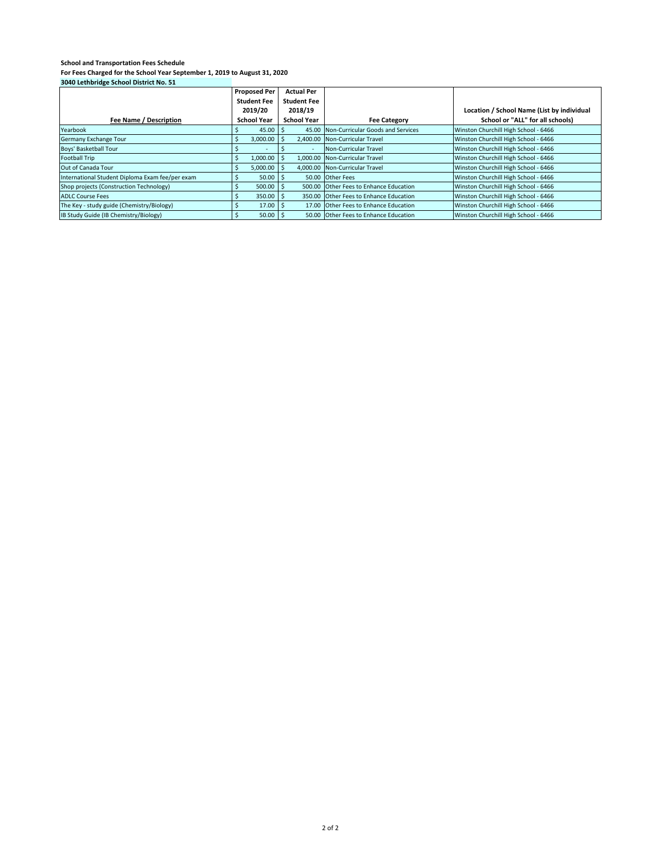| <b>JOHN LETTININGE JUNIOR DISTRICTION JE</b>    |                     |                    |                                         |                                            |
|-------------------------------------------------|---------------------|--------------------|-----------------------------------------|--------------------------------------------|
|                                                 | <b>Proposed Per</b> | <b>Actual Per</b>  |                                         |                                            |
|                                                 | <b>Student Fee</b>  | <b>Student Fee</b> |                                         |                                            |
|                                                 | 2019/20             | 2018/19            |                                         | Location / School Name (List by individual |
| Fee Name / Description                          | <b>School Year</b>  | <b>School Year</b> | <b>Fee Category</b>                     | School or "ALL" for all schools)           |
| Yearbook                                        | 45.00               |                    | 45.00 Non-Curricular Goods and Services | Winston Churchill High School - 6466       |
| Germany Exchange Tour                           | 3,000.00            |                    | 2,400.00 Non-Curricular Travel          | Winston Churchill High School - 6466       |
| Boys' Basketball Tour                           |                     |                    | Non-Curricular Travel                   | Winston Churchill High School - 6466       |
| <b>Football Trip</b>                            | 1,000.00            |                    | 1,000.00 Non-Curricular Travel          | Winston Churchill High School - 6466       |
| Out of Canada Tour                              | 5.000.00            |                    | 4.000.00 Non-Curricular Travel          | Winston Churchill High School - 6466       |
| International Student Diploma Exam fee/per exam | 50.00               |                    | 50.00 Other Fees                        | Winston Churchill High School - 6466       |
| Shop projects (Construction Technology)         | $500.00$ S          |                    | 500.00 Other Fees to Enhance Education  | Winston Churchill High School - 6466       |
| <b>ADLC Course Fees</b>                         | $350.00$   \$       |                    | 350.00 Other Fees to Enhance Education  | Winston Churchill High School - 6466       |
| The Key - study guide (Chemistry/Biology)       | 17.00               |                    | 17.00 Other Fees to Enhance Education   | Winston Churchill High School - 6466       |
| IB Study Guide (IB Chemistry/Biology)           | 50.00               |                    | 50.00 Other Fees to Enhance Education   | Winston Churchill High School - 6466       |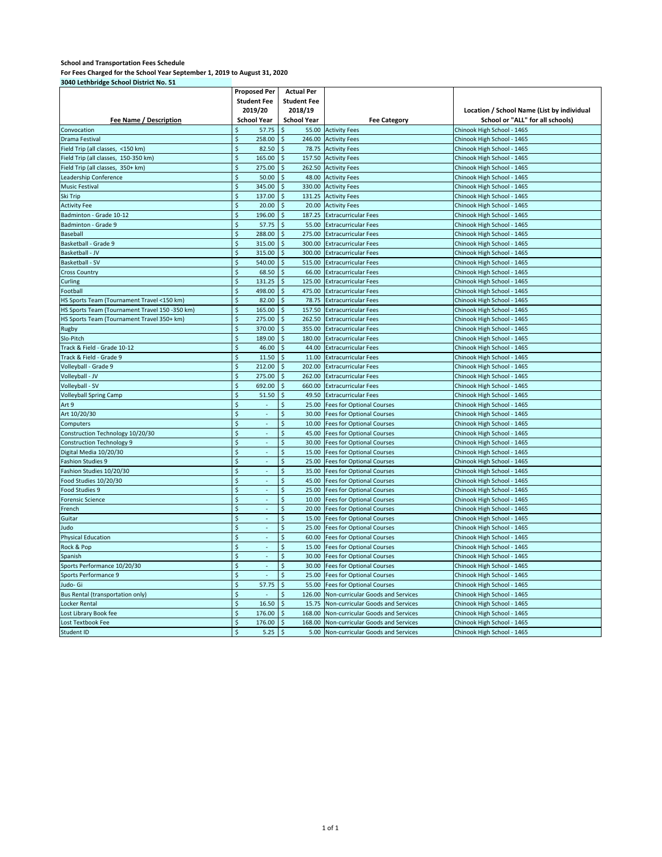#### **School and Transportation Fees Schedule**

**For Fees Charged for the School Year September 1, 2019 to August 31, 2020 3040 Lethbridge School District No. 51**

|                                                | <b>Proposed Per</b><br><b>Student Fee</b><br>2019/20 | <b>Actual Per</b><br><b>Student Fee</b><br>2018/19 |                                        | Location / School Name (List by individual |
|------------------------------------------------|------------------------------------------------------|----------------------------------------------------|----------------------------------------|--------------------------------------------|
| Fee Name / Description                         | <b>School Year</b>                                   | <b>School Year</b>                                 | <b>Fee Category</b>                    | School or "ALL" for all schools)           |
| Convocation                                    | 57.75                                                | 55.00                                              | <b>Activity Fees</b>                   | Chinook High School - 1465                 |
| Drama Festival                                 | $\ddot{\varsigma}$<br>258.00                         | \$<br>246.00                                       | <b>Activity Fees</b>                   | Chinook High School - 1465                 |
| Field Trip (all classes, <150 km)              | \$<br>82.50                                          | \$<br>78.75                                        | <b>Activity Fees</b>                   | Chinook High School - 1465                 |
| Field Trip (all classes, 150-350 km)           | $\zeta$<br>165.00                                    | 157.50<br>\$                                       | <b>Activity Fees</b>                   | Chinook High School - 1465                 |
| Field Trip (all classes, 350+ km)              | \$<br>275.00                                         | \$<br>262.50                                       | <b>Activity Fees</b>                   | Chinook High School - 1465                 |
| Leadership Conference                          | \$<br>50.00                                          | \$<br>48.00                                        | <b>Activity Fees</b>                   | Chinook High School - 1465                 |
| <b>Music Festival</b>                          | \$<br>345.00                                         | \$<br>330.00                                       | <b>Activity Fees</b>                   | Chinook High School - 1465                 |
| Ski Trip                                       | $\zeta$<br>137.00                                    | \$<br>131.25                                       | <b>Activity Fees</b>                   | Chinook High School - 1465                 |
| <b>Activity Fee</b>                            | $\overline{\mathsf{s}}$<br>20.00                     | \$<br>20.00                                        | <b>Activity Fees</b>                   | Chinook High School - 1465                 |
| Badminton - Grade 10-12                        | $\dot{\mathsf{S}}$<br>196.00                         | \$<br>187.25                                       | <b>Extracurricular Fees</b>            | Chinook High School - 1465                 |
| Badminton - Grade 9                            | \$<br>57.75                                          | $\zeta$<br>55.00                                   | <b>Extracurricular Fees</b>            | Chinook High School - 1465                 |
| Baseball                                       | \$<br>288.00                                         | $\zeta$<br>275.00                                  | <b>Extracurricular Fees</b>            | Chinook High School - 1465                 |
| Basketball - Grade 9                           | \$<br>315.00                                         | \$<br>300.00                                       | <b>Extracurricular Fees</b>            | Chinook High School - 1465                 |
| Basketball - JV                                | \$<br>315.00                                         | \$<br>300.00                                       | <b>Extracurricular Fees</b>            | Chinook High School - 1465                 |
| Basketball - SV                                | Ś<br>540.00                                          | \$<br>515.00                                       | <b>Extracurricular Fees</b>            | Chinook High School - 1465                 |
| <b>Cross Country</b>                           | $\ddot{\varsigma}$<br>68.50                          | \$<br>66.00                                        | <b>Extracurricular Fees</b>            | Chinook High School - 1465                 |
| Curling                                        | \$<br>131.25                                         | \$<br>125.00                                       | <b>Extracurricular Fees</b>            | Chinook High School - 1465                 |
| Football                                       | $\zeta$<br>498.00                                    | 475.00<br>\$                                       | <b>Extracurricular Fees</b>            | Chinook High School - 1465                 |
| HS Sports Team (Tournament Travel <150 km)     | \$<br>82.00                                          | \$<br>78.75                                        | <b>Extracurricular Fees</b>            | Chinook High School - 1465                 |
| HS Sports Team (Tournament Travel 150 -350 km) | \$<br>165.00                                         | \$<br>157.50                                       | <b>Extracurricular Fees</b>            | Chinook High School - 1465                 |
| HS Sports Team (Tournament Travel 350+ km)     | \$<br>275.00                                         | \$<br>262.50                                       | <b>Extracurricular Fees</b>            | Chinook High School - 1465                 |
| Rugby                                          | \$<br>370.00                                         | $\mathsf{\hat{S}}$<br>355.00                       | <b>Extracurricular Fees</b>            | Chinook High School - 1465                 |
| Slo-Pitch                                      | $\overline{\mathsf{S}}$<br>189.00                    | \$<br>180.00                                       | <b>Extracurricular Fees</b>            | Chinook High School - 1465                 |
| Track & Field - Grade 10-12                    | $\dot{\mathsf{S}}$<br>46.00                          | \$<br>44.00                                        | <b>Extracurricular Fees</b>            | Chinook High School - 1465                 |
| Track & Field - Grade 9                        | \$<br>11.50                                          | $\ddot{\mathsf{s}}$<br>11.00                       | <b>Extracurricular Fees</b>            | Chinook High School - 1465                 |
| Volleyball - Grade 9                           | \$<br>212.00                                         | $\ddot{\mathsf{s}}$<br>202.00                      | <b>Extracurricular Fees</b>            | Chinook High School - 1465                 |
| Volleyball - JV                                | \$<br>275.00                                         | \$<br>262.00                                       | <b>Extracurricular Fees</b>            | Chinook High School - 1465                 |
| Volleyball - SV                                | \$<br>692.00                                         | Ś<br>660.00                                        | <b>Extracurricular Fees</b>            | Chinook High School - 1465                 |
| <b>Volleyball Spring Camp</b>                  | Ś<br>51.50                                           | Ś<br>49.50                                         | <b>Extracurricular Fees</b>            | Chinook High School - 1465                 |
| Art 9                                          | $\ddot{\varsigma}$                                   | \$<br>25.00                                        | <b>Fees for Optional Courses</b>       | Chinook High School - 1465                 |
| Art 10/20/30                                   | \$<br>÷,                                             | \$<br>30.00                                        | <b>Fees for Optional Courses</b>       | Chinook High School - 1465                 |
| Computers                                      | \$<br>×.                                             | \$<br>10.00                                        | <b>Fees for Optional Courses</b>       | Chinook High School - 1465                 |
| Construction Technology 10/20/30               | \$<br>ä,                                             | \$<br>45.00                                        | <b>Fees for Optional Courses</b>       | Chinook High School - 1465                 |
| <b>Construction Technology 9</b>               | \$<br>÷,                                             | \$<br>30.00                                        | <b>Fees for Optional Courses</b>       | Chinook High School - 1465                 |
| Digital Media 10/20/30                         | $\zeta$                                              | \$<br>15.00                                        | <b>Fees for Optional Courses</b>       | Chinook High School - 1465                 |
| <b>Fashion Studies 9</b>                       | \$<br>÷,                                             | \$<br>25.00                                        | <b>Fees for Optional Courses</b>       | Chinook High School - 1465                 |
| Fashion Studies 10/20/30                       | $\overline{\mathsf{S}}$                              | \$<br>35.00                                        | <b>Fees for Optional Courses</b>       | Chinook High School - 1465                 |
| Food Studies 10/20/30                          | $\zeta$                                              | $\zeta$<br>45.00                                   | <b>Fees for Optional Courses</b>       | Chinook High School - 1465                 |
| Food Studies 9                                 | \$                                                   | $\ddot{\varsigma}$<br>25.00                        | <b>Fees for Optional Courses</b>       | Chinook High School - 1465                 |
| <b>Forensic Science</b>                        | \$<br>L.                                             | $\dot{\mathsf{S}}$<br>10.00                        | <b>Fees for Optional Courses</b>       | Chinook High School - 1465                 |
| French                                         | \$<br>$\mathcal{L}_{\mathcal{A}}$                    | \$<br>20.00                                        | <b>Fees for Optional Courses</b>       | Chinook High School - 1465                 |
| Guitar                                         | Ś<br>÷,                                              | \$<br>15.00                                        | <b>Fees for Optional Courses</b>       | Chinook High School - 1465                 |
| Judo                                           | Ś                                                    | \$<br>25.00                                        | <b>Fees for Optional Courses</b>       | Chinook High School - 1465                 |
| <b>Physical Education</b>                      | $\zeta$                                              | \$<br>60.00                                        | <b>Fees for Optional Courses</b>       | Chinook High School - 1465                 |
| Rock & Pop                                     | \$<br>ä,                                             | \$<br>15.00                                        | <b>Fees for Optional Courses</b>       | Chinook High School - 1465                 |
| Spanish                                        | \$<br>×.                                             | \$<br>30.00                                        | <b>Fees for Optional Courses</b>       | Chinook High School - 1465                 |
| Sports Performance 10/20/30                    | \$<br>ä,                                             | \$<br>30.00                                        | <b>Fees for Optional Courses</b>       | Chinook High School - 1465                 |
| Sports Performance 9                           | \$<br>÷,                                             | \$<br>25.00                                        | <b>Fees for Optional Courses</b>       | Chinook High School - 1465                 |
| Judo- Gi                                       | $\zeta$<br>57.75                                     | \$<br>55.00                                        | <b>Fees for Optional Courses</b>       | Chinook High School - 1465                 |
| Bus Rental (transportation only)               | \$                                                   | \$<br>126.00                                       | Non-curricular Goods and Services      | Chinook High School - 1465                 |
| Locker Rental                                  | $\overline{\xi}$<br>16.50                            | \$<br>15.75                                        | Non-curricular Goods and Services      | Chinook High School - 1465                 |
| Lost Library Book fee                          | $\zeta$<br>176.00                                    | \$<br>168.00                                       | Non-curricular Goods and Services      | Chinook High School - 1465                 |
| Lost Textbook Fee                              | \$<br>176.00                                         | \$<br>168.00                                       | Non-curricular Goods and Services      | Chinook High School - 1465                 |
| Student ID                                     | $\mathsf{\hat{S}}$<br>5.25                           | $\dot{\mathsf{S}}$                                 | 5.00 Non-curricular Goods and Services | Chinook High School - 1465                 |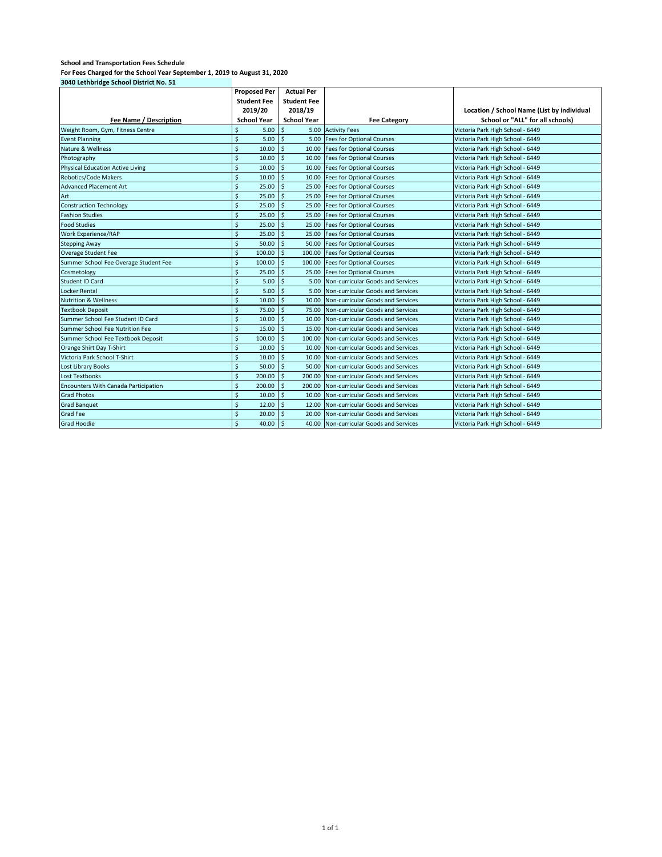| 3040 Lethbridge School District No. 51      |                              |                             |                                         |                                            |
|---------------------------------------------|------------------------------|-----------------------------|-----------------------------------------|--------------------------------------------|
|                                             | <b>Proposed Per</b>          | <b>Actual Per</b>           |                                         |                                            |
|                                             | <b>Student Fee</b>           | <b>Student Fee</b>          |                                         |                                            |
|                                             | 2019/20                      | 2018/19                     |                                         | Location / School Name (List by individual |
| Fee Name / Description                      | <b>School Year</b>           | <b>School Year</b>          | <b>Fee Category</b>                     | School or "ALL" for all schools)           |
| Weight Room, Gym, Fitness Centre            | \$<br>5.00                   | \$<br>5.00                  | <b>Activity Fees</b>                    | Victoria Park High School - 6449           |
| <b>Event Planning</b>                       | \$<br>5.00                   | Ŝ.                          | 5.00 Fees for Optional Courses          | Victoria Park High School - 6449           |
| Nature & Wellness                           | \$<br>10.00                  | Ś<br>10.00                  | <b>Fees for Optional Courses</b>        | Victoria Park High School - 6449           |
| Photography                                 | \$<br>10.00                  | Ś<br>10.00                  | <b>Fees for Optional Courses</b>        | Victoria Park High School - 6449           |
| <b>Physical Education Active Living</b>     | \$<br>10.00                  | Ś<br>10.00                  | <b>Fees for Optional Courses</b>        | Victoria Park High School - 6449           |
| Robotics/Code Makers                        | \$<br>10.00                  | Ŝ.<br>10.00                 | <b>Fees for Optional Courses</b>        | Victoria Park High School - 6449           |
| <b>Advanced Placement Art</b>               | $\mathsf{\hat{S}}$<br>25.00  | .s<br>25.00                 | <b>Fees for Optional Courses</b>        | Victoria Park High School - 6449           |
| Art                                         | $\mathsf{\hat{S}}$<br>25.00  | $\mathsf{\hat{S}}$<br>25.00 | <b>Fees for Optional Courses</b>        | Victoria Park High School - 6449           |
| <b>Construction Technology</b>              | \$<br>25.00                  | $\mathsf{\hat{S}}$<br>25.00 | <b>Fees for Optional Courses</b>        | Victoria Park High School - 6449           |
| <b>Fashion Studies</b>                      | \$<br>25.00                  | \$<br>25.00                 | <b>Fees for Optional Courses</b>        | Victoria Park High School - 6449           |
| <b>Food Studies</b>                         | \$<br>25.00                  | \$<br>25.00                 | <b>Fees for Optional Courses</b>        | Victoria Park High School - 6449           |
| Work Experience/RAP                         | \$<br>25.00                  | \$<br>25.00                 | <b>Fees for Optional Courses</b>        | Victoria Park High School - 6449           |
| <b>Stepping Away</b>                        | \$<br>50.00                  | $\zeta$<br>50.00            | <b>Fees for Optional Courses</b>        | Victoria Park High School - 6449           |
| Overage Student Fee                         | \$<br>100.00                 | \$<br>100.00                | <b>Fees for Optional Courses</b>        | Victoria Park High School - 6449           |
| Summer School Fee Overage Student Fee       | \$<br>100.00                 | \$<br>100.00                | <b>Fees for Optional Courses</b>        | Victoria Park High School - 6449           |
| Cosmetology                                 | \$<br>25.00                  | \$<br>25.00                 | <b>Fees for Optional Courses</b>        | Victoria Park High School - 6449           |
| <b>Student ID Card</b>                      | \$<br>5.00                   | \$<br>5.00                  | Non-curricular Goods and Services       | Victoria Park High School - 6449           |
| Locker Rental                               | Ś<br>5.00                    | Ś<br>5.00                   | Non-curricular Goods and Services       | Victoria Park High School - 6449           |
| <b>Nutrition &amp; Wellness</b>             | Ś<br>10.00                   | Ś<br>10.00                  | Non-curricular Goods and Services       | Victoria Park High School - 6449           |
| <b>Textbook Deposit</b>                     | \$<br>75.00                  | Ś<br>75.00                  | Non-curricular Goods and Services       | Victoria Park High School - 6449           |
| Summer School Fee Student ID Card           | Ś<br>10.00                   | \$<br>10.00                 | Non-curricular Goods and Services       | Victoria Park High School - 6449           |
| Summer School Fee Nutrition Fee             | $\mathsf{\hat{S}}$<br>15.00  | \$<br>15.00                 | Non-curricular Goods and Services       | Victoria Park High School - 6449           |
| Summer School Fee Textbook Deposit          | $\mathsf{\hat{S}}$<br>100.00 | \$<br>100.00                | Non-curricular Goods and Services       | Victoria Park High School - 6449           |
| Orange Shirt Day T-Shirt                    | $\mathsf{\hat{S}}$<br>10.00  | Ś<br>10.00                  | Non-curricular Goods and Services       | Victoria Park High School - 6449           |
| Victoria Park School T-Shirt                | $\mathsf{\hat{S}}$<br>10.00  | Ś<br>10.00                  | Non-curricular Goods and Services       | Victoria Park High School - 6449           |
| Lost Library Books                          | \$<br>50.00                  | Ś<br>50.00                  | Non-curricular Goods and Services       | Victoria Park High School - 6449           |
| <b>Lost Textbooks</b>                       | \$<br>200.00                 | Ś<br>200.00                 | Non-curricular Goods and Services       | Victoria Park High School - 6449           |
| <b>Encounters With Canada Participation</b> | $\mathsf{\hat{S}}$<br>200.00 | Ŝ.<br>200.00                | Non-curricular Goods and Services       | Victoria Park High School - 6449           |
| <b>Grad Photos</b>                          | \$<br>10.00                  | Ŝ.<br>10.00                 | Non-curricular Goods and Services       | Victoria Park High School - 6449           |
| <b>Grad Banquet</b>                         | \$<br>12.00                  | \$<br>12.00                 | Non-curricular Goods and Services       | Victoria Park High School - 6449           |
| Grad Fee                                    | \$<br>20.00                  | Ŝ.<br>20.00                 | Non-curricular Goods and Services       | Victoria Park High School - 6449           |
| <b>Grad Hoodie</b>                          | $\mathsf{\hat{S}}$<br>40.00  | .s                          | 40.00 Non-curricular Goods and Services | Victoria Park High School - 6449           |